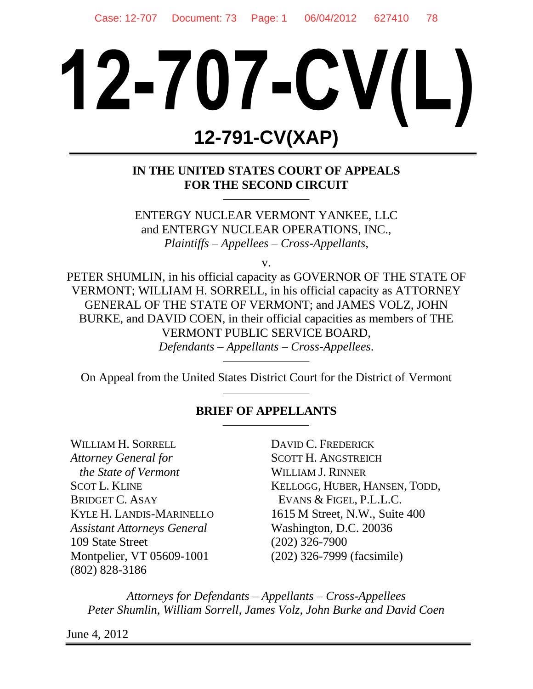# **12-707-CV(L) 12-791-CV(XAP)**

# **IN THE UNITED STATES COURT OF APPEALS FOR THE SECOND CIRCUIT**

ENTERGY NUCLEAR VERMONT YANKEE, LLC and ENTERGY NUCLEAR OPERATIONS, INC., *Plaintiffs – Appellees – Cross-Appellants*,

v.

PETER SHUMLIN, in his official capacity as GOVERNOR OF THE STATE OF VERMONT; WILLIAM H. SORRELL, in his official capacity as ATTORNEY GENERAL OF THE STATE OF VERMONT; and JAMES VOLZ, JOHN BURKE, and DAVID COEN, in their official capacities as members of THE VERMONT PUBLIC SERVICE BOARD, *Defendants – Appellants – Cross-Appellees*.

On Appeal from the United States District Court for the District of Vermont

## **BRIEF OF APPELLANTS**

WILLIAM H. SORRELL *Attorney General for the State of Vermont* SCOT L. KLINE BRIDGET C. ASAY KYLE H. LANDIS-MARINELLO *Assistant Attorneys General* 109 State Street Montpelier, VT 05609-1001 (802) 828-3186

DAVID C. FREDERICK SCOTT H. ANGSTREICH WILLIAM J. RINNER KELLOGG, HUBER, HANSEN, TODD, EVANS & FIGEL, P.L.L.C. 1615 M Street, N.W., Suite 400 Washington, D.C. 20036 (202) 326-7900 (202) 326-7999 (facsimile)

*Attorneys for Defendants – Appellants – Cross-Appellees Peter Shumlin, William Sorrell, James Volz, John Burke and David Coen*

June 4, 2012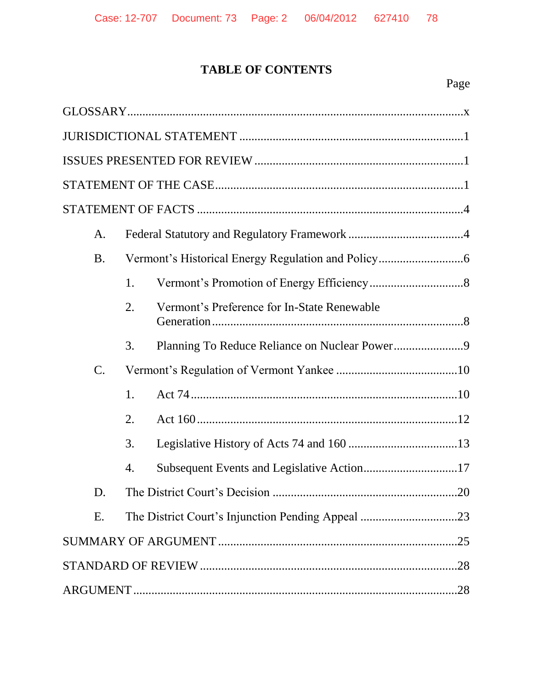# **TABLE OF CONTENTS**

| A.              |    |                                               |  |
|-----------------|----|-----------------------------------------------|--|
| <b>B.</b>       |    |                                               |  |
|                 | 1. |                                               |  |
|                 | 2. | Vermont's Preference for In-State Renewable   |  |
|                 | 3. | Planning To Reduce Reliance on Nuclear Power9 |  |
| $\mathcal{C}$ . |    |                                               |  |
|                 | 1. |                                               |  |
|                 | 2. |                                               |  |
|                 | 3. |                                               |  |
|                 | 4. |                                               |  |
| D.              |    | .20                                           |  |
| Ε.              |    |                                               |  |
|                 |    |                                               |  |
|                 |    |                                               |  |
|                 |    |                                               |  |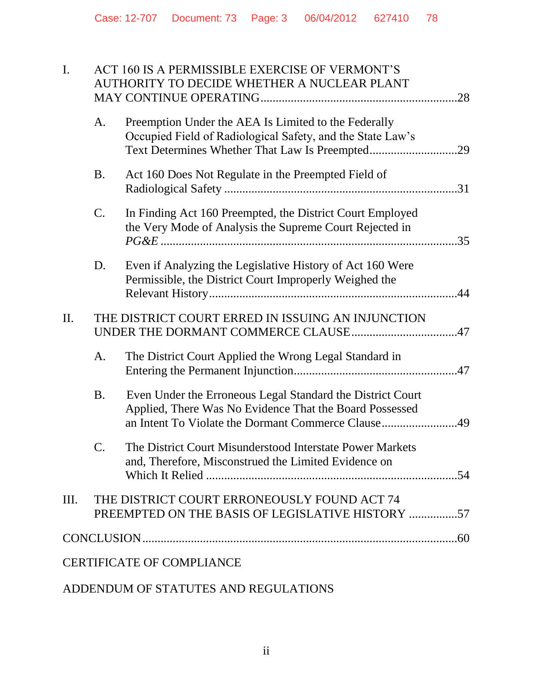| I.   | ACT 160 IS A PERMISSIBLE EXERCISE OF VERMONT'S<br>AUTHORITY TO DECIDE WHETHER A NUCLEAR PLANT |                                                                                                                                                                             |  |  |
|------|-----------------------------------------------------------------------------------------------|-----------------------------------------------------------------------------------------------------------------------------------------------------------------------------|--|--|
|      | A.                                                                                            | Preemption Under the AEA Is Limited to the Federally<br>Occupied Field of Radiological Safety, and the State Law's<br>Text Determines Whether That Law Is Preempted29       |  |  |
|      | <b>B.</b>                                                                                     | Act 160 Does Not Regulate in the Preempted Field of                                                                                                                         |  |  |
|      | $\mathsf{C}$ .                                                                                | In Finding Act 160 Preempted, the District Court Employed<br>the Very Mode of Analysis the Supreme Court Rejected in                                                        |  |  |
|      | D.                                                                                            | Even if Analyzing the Legislative History of Act 160 Were<br>Permissible, the District Court Improperly Weighed the                                                         |  |  |
| II.  |                                                                                               | THE DISTRICT COURT ERRED IN ISSUING AN INJUNCTION                                                                                                                           |  |  |
|      | A.                                                                                            | The District Court Applied the Wrong Legal Standard in                                                                                                                      |  |  |
|      | <b>B.</b>                                                                                     | Even Under the Erroneous Legal Standard the District Court<br>Applied, There Was No Evidence That the Board Possessed<br>an Intent To Violate the Dormant Commerce Clause49 |  |  |
|      | C.                                                                                            | The District Court Misunderstood Interstate Power Markets<br>and, Therefore, Misconstrued the Limited Evidence on                                                           |  |  |
| III. |                                                                                               |                                                                                                                                                                             |  |  |
|      |                                                                                               |                                                                                                                                                                             |  |  |
|      |                                                                                               |                                                                                                                                                                             |  |  |
|      | THE DISTRICT COURT ERRONEOUSLY FOUND ACT 74<br><b>CERTIFICATE OF COMPLIANCE</b>               |                                                                                                                                                                             |  |  |

# ADDENDUM OF STATUTES AND REGULATIONS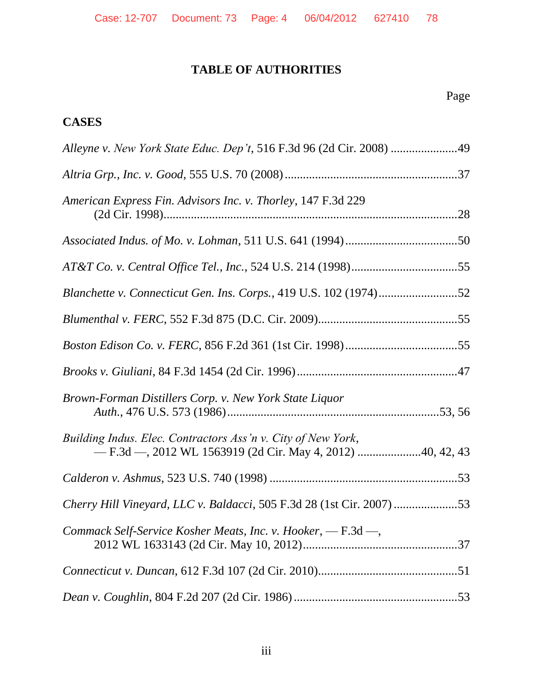# **TABLE OF AUTHORITIES**

# Page

# **CASES**

| Alleyne v. New York State Educ. Dep't, 516 F.3d 96 (2d Cir. 2008) 49  |  |
|-----------------------------------------------------------------------|--|
|                                                                       |  |
| American Express Fin. Advisors Inc. v. Thorley, 147 F.3d 229          |  |
|                                                                       |  |
|                                                                       |  |
| Blanchette v. Connecticut Gen. Ins. Corps., 419 U.S. 102 (1974)52     |  |
|                                                                       |  |
|                                                                       |  |
|                                                                       |  |
| Brown-Forman Distillers Corp. v. New York State Liquor                |  |
| Building Indus. Elec. Contractors Ass'n v. City of New York,          |  |
|                                                                       |  |
| Cherry Hill Vineyard, LLC v. Baldacci, 505 F.3d 28 (1st Cir. 2007) 53 |  |
| Commack Self-Service Kosher Meats, Inc. v. Hooker, - F.3d -,          |  |
|                                                                       |  |
|                                                                       |  |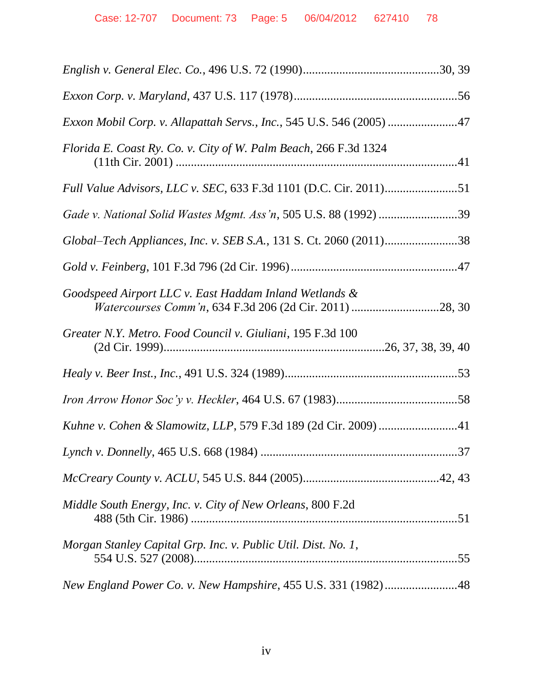| Exxon Mobil Corp. v. Allapattah Servs., Inc., 545 U.S. 546 (2005) 47                                              |
|-------------------------------------------------------------------------------------------------------------------|
| Florida E. Coast Ry. Co. v. City of W. Palm Beach, 266 F.3d 1324                                                  |
|                                                                                                                   |
| Gade v. National Solid Wastes Mgmt. Ass'n, 505 U.S. 88 (1992) 39                                                  |
| Global–Tech Appliances, Inc. v. SEB S.A., 131 S. Ct. 2060 (2011)38                                                |
|                                                                                                                   |
| Goodspeed Airport LLC v. East Haddam Inland Wetlands &<br>Watercourses Comm'n, 634 F.3d 206 (2d Cir. 2011) 28, 30 |
| Greater N.Y. Metro. Food Council v. Giuliani, 195 F.3d 100                                                        |
|                                                                                                                   |
|                                                                                                                   |
|                                                                                                                   |
|                                                                                                                   |
|                                                                                                                   |
|                                                                                                                   |
| Middle South Energy, Inc. v. City of New Orleans, 800 F.2d                                                        |
| Morgan Stanley Capital Grp. Inc. v. Public Util. Dist. No. 1,                                                     |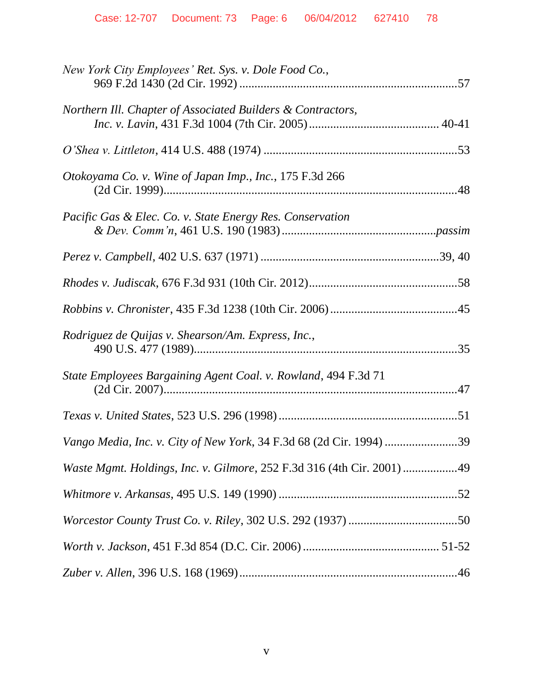| New York City Employees' Ret. Sys. v. Dole Food Co.,                   |
|------------------------------------------------------------------------|
| Northern Ill. Chapter of Associated Builders & Contractors,            |
|                                                                        |
| Otokoyama Co. v. Wine of Japan Imp., Inc., 175 F.3d 266                |
| Pacific Gas & Elec. Co. v. State Energy Res. Conservation              |
|                                                                        |
|                                                                        |
|                                                                        |
| Rodriguez de Quijas v. Shearson/Am. Express, Inc.,                     |
| State Employees Bargaining Agent Coal. v. Rowland, 494 F.3d 71         |
|                                                                        |
| Vango Media, Inc. v. City of New York, 34 F.3d 68 (2d Cir. 1994) 39    |
| Waste Mgmt. Holdings, Inc. v. Gilmore, 252 F.3d 316 (4th Cir. 2001) 49 |
|                                                                        |
|                                                                        |
|                                                                        |
|                                                                        |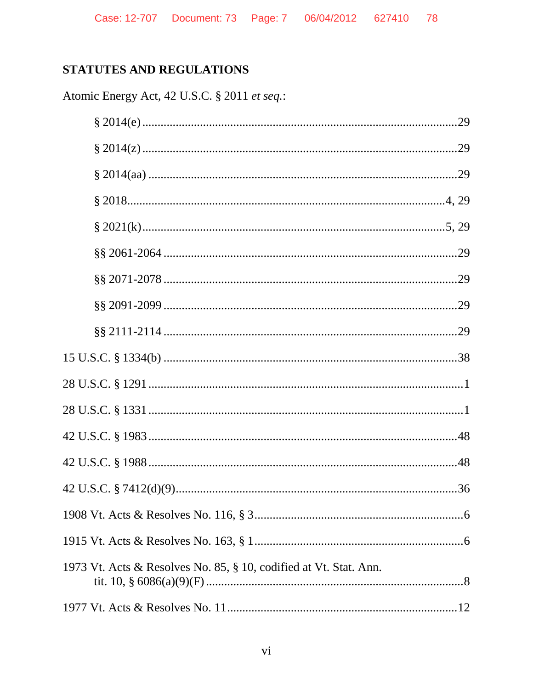# STATUTES AND REGULATIONS

Atomic Energy Act, 42 U.S.C. § 2011 et seq.:

| 1973 Vt. Acts & Resolves No. 85, § 10, codified at Vt. Stat. Ann. |
|-------------------------------------------------------------------|
|                                                                   |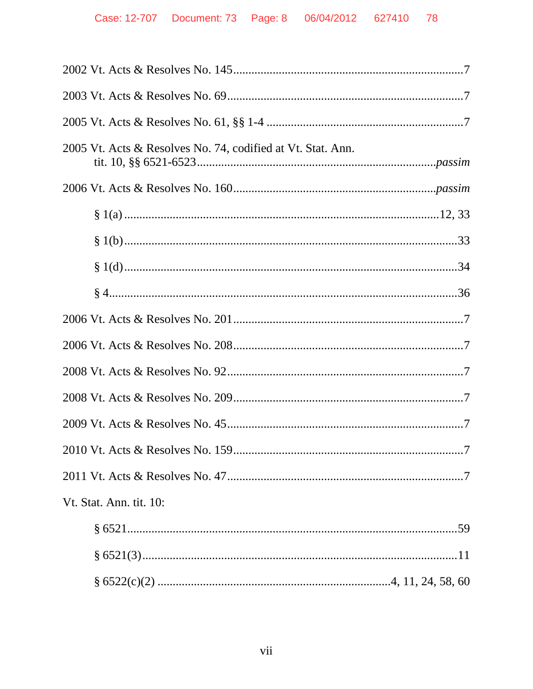| 2005 Vt. Acts & Resolves No. 74, codified at Vt. Stat. Ann. |
|-------------------------------------------------------------|
|                                                             |
|                                                             |
|                                                             |
|                                                             |
|                                                             |
|                                                             |
|                                                             |
|                                                             |
|                                                             |
|                                                             |
| .7                                                          |
|                                                             |
| Vt. Stat. Ann. tit. 10:                                     |
|                                                             |
|                                                             |
|                                                             |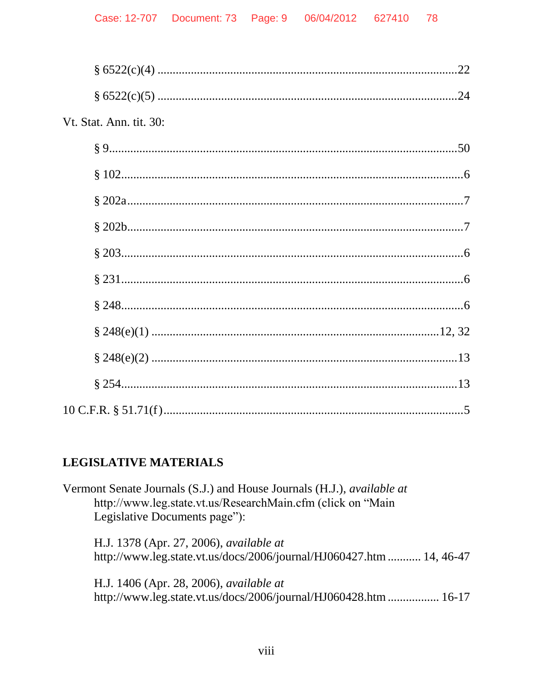| Vt. Stat. Ann. tit. 30: |
|-------------------------|
|                         |
|                         |
|                         |
|                         |
|                         |
|                         |
|                         |
|                         |
|                         |
|                         |
|                         |

# **LEGISLATIVE MATERIALS**

| Vermont Senate Journals (S.J.) and House Journals (H.J.), <i>available at</i><br>http://www.leg.state.vt.us/ResearchMain.cfm (click on "Main<br>Legislative Documents page"): |
|-------------------------------------------------------------------------------------------------------------------------------------------------------------------------------|
| H.J. 1378 (Apr. 27, 2006), <i>available at</i><br>http://www.leg.state.vt.us/docs/2006/journal/HJ060427.htm  14, 46-47                                                        |
| H.J. 1406 (Apr. 28, 2006), available at<br>http://www.leg.state.vt.us/docs/2006/journal/HJ060428.htm  16-17                                                                   |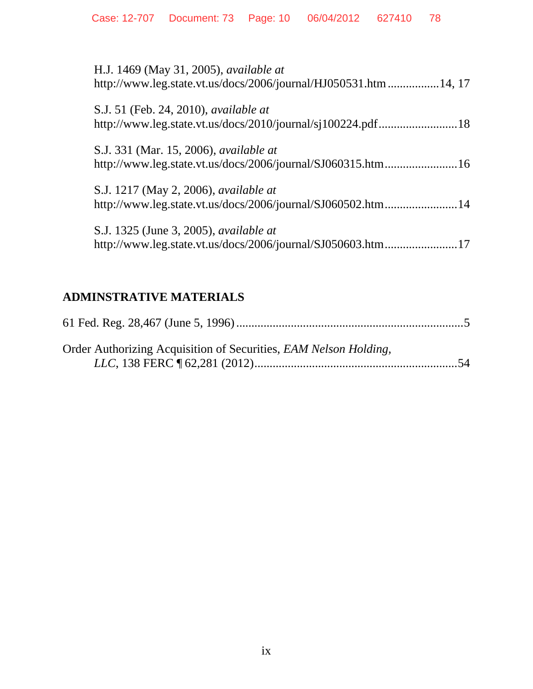| H.J. 1469 (May 31, 2005), <i>available at</i><br>http://www.leg.state.vt.us/docs/2006/journal/HJ050531.htm 14, 17 |
|-------------------------------------------------------------------------------------------------------------------|
| S.J. 51 (Feb. 24, 2010), <i>available at</i>                                                                      |
| S.J. 331 (Mar. 15, 2006), <i>available at</i><br>http://www.leg.state.vt.us/docs/2006/journal/SJ060315.htm16      |
| S.J. 1217 (May 2, 2006), <i>available at</i><br>http://www.leg.state.vt.us/docs/2006/journal/SJ060502.htm14       |
| S.J. 1325 (June 3, 2005), <i>available at</i><br>http://www.leg.state.vt.us/docs/2006/journal/SJ050603.htm17      |

# **ADMINSTRATIVE MATERIALS**

| Order Authorizing Acquisition of Securities, EAM Nelson Holding, |  |
|------------------------------------------------------------------|--|
|                                                                  |  |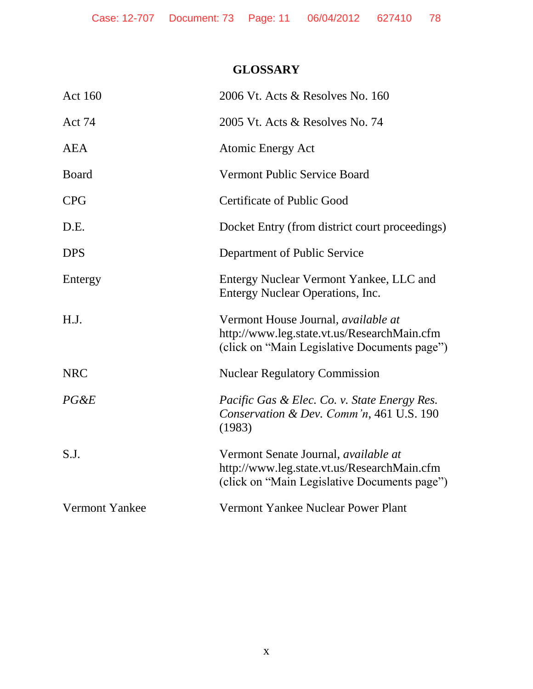# **GLOSSARY**

| <b>Act 160</b> | 2006 Vt. Acts & Resolves No. 160                                                                                                    |
|----------------|-------------------------------------------------------------------------------------------------------------------------------------|
| Act 74         | 2005 Vt. Acts & Resolves No. 74                                                                                                     |
| <b>AEA</b>     | <b>Atomic Energy Act</b>                                                                                                            |
| <b>Board</b>   | Vermont Public Service Board                                                                                                        |
| <b>CPG</b>     | Certificate of Public Good                                                                                                          |
| D.E.           | Docket Entry (from district court proceedings)                                                                                      |
| <b>DPS</b>     | Department of Public Service                                                                                                        |
| Entergy        | Entergy Nuclear Vermont Yankee, LLC and<br>Entergy Nuclear Operations, Inc.                                                         |
| H.J.           | Vermont House Journal, available at<br>http://www.leg.state.vt.us/ResearchMain.cfm<br>(click on "Main Legislative Documents page")  |
| <b>NRC</b>     | <b>Nuclear Regulatory Commission</b>                                                                                                |
| $PG\&E$        | Pacific Gas & Elec. Co. v. State Energy Res.<br>Conservation & Dev. Comm'n, 461 U.S. 190<br>(1983)                                  |
| S.J.           | Vermont Senate Journal, available at<br>http://www.leg.state.vt.us/ResearchMain.cfm<br>(click on "Main Legislative Documents page") |
| Vermont Yankee | Vermont Yankee Nuclear Power Plant                                                                                                  |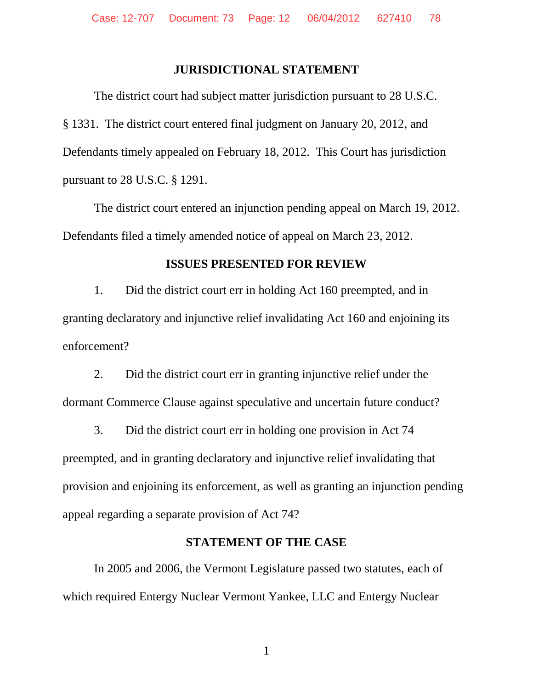#### **JURISDICTIONAL STATEMENT**

The district court had subject matter jurisdiction pursuant to 28 U.S.C. § 1331. The district court entered final judgment on January 20, 2012, and Defendants timely appealed on February 18, 2012. This Court has jurisdiction pursuant to 28 U.S.C. § 1291.

The district court entered an injunction pending appeal on March 19, 2012. Defendants filed a timely amended notice of appeal on March 23, 2012.

#### **ISSUES PRESENTED FOR REVIEW**

1. Did the district court err in holding Act 160 preempted, and in granting declaratory and injunctive relief invalidating Act 160 and enjoining its enforcement?

2. Did the district court err in granting injunctive relief under the dormant Commerce Clause against speculative and uncertain future conduct?

3. Did the district court err in holding one provision in Act 74 preempted, and in granting declaratory and injunctive relief invalidating that provision and enjoining its enforcement, as well as granting an injunction pending appeal regarding a separate provision of Act 74?

#### **STATEMENT OF THE CASE**

In 2005 and 2006, the Vermont Legislature passed two statutes, each of which required Entergy Nuclear Vermont Yankee, LLC and Entergy Nuclear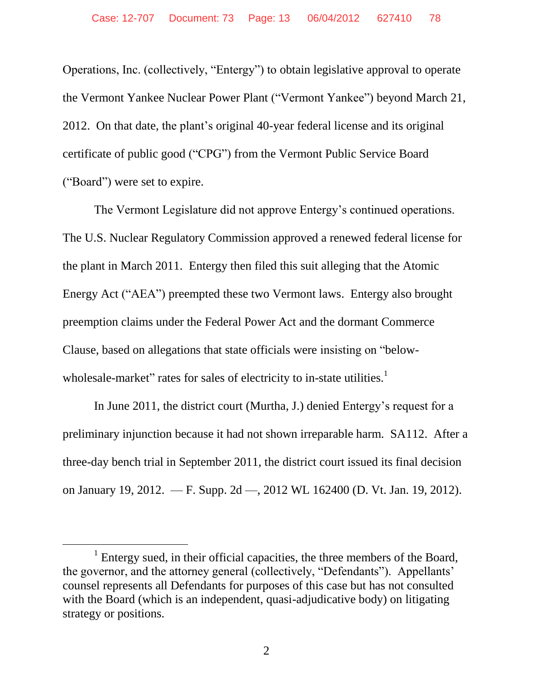Operations, Inc. (collectively, "Entergy") to obtain legislative approval to operate the Vermont Yankee Nuclear Power Plant ("Vermont Yankee") beyond March 21, 2012. On that date, the plant's original 40-year federal license and its original certificate of public good ("CPG") from the Vermont Public Service Board ("Board") were set to expire.

The Vermont Legislature did not approve Entergy's continued operations. The U.S. Nuclear Regulatory Commission approved a renewed federal license for the plant in March 2011. Entergy then filed this suit alleging that the Atomic Energy Act ("AEA") preempted these two Vermont laws. Entergy also brought preemption claims under the Federal Power Act and the dormant Commerce Clause, based on allegations that state officials were insisting on "belowwholesale-market" rates for sales of electricity to in-state utilities.<sup>1</sup>

In June 2011, the district court (Murtha, J.) denied Entergy's request for a preliminary injunction because it had not shown irreparable harm. SA112. After a three-day bench trial in September 2011, the district court issued its final decision on January 19, 2012. — F. Supp. 2d —, 2012 WL 162400 (D. Vt. Jan. 19, 2012).

l

<sup>&</sup>lt;sup>1</sup> Entergy sued, in their official capacities, the three members of the Board, the governor, and the attorney general (collectively, "Defendants"). Appellants' counsel represents all Defendants for purposes of this case but has not consulted with the Board (which is an independent, quasi-adjudicative body) on litigating strategy or positions.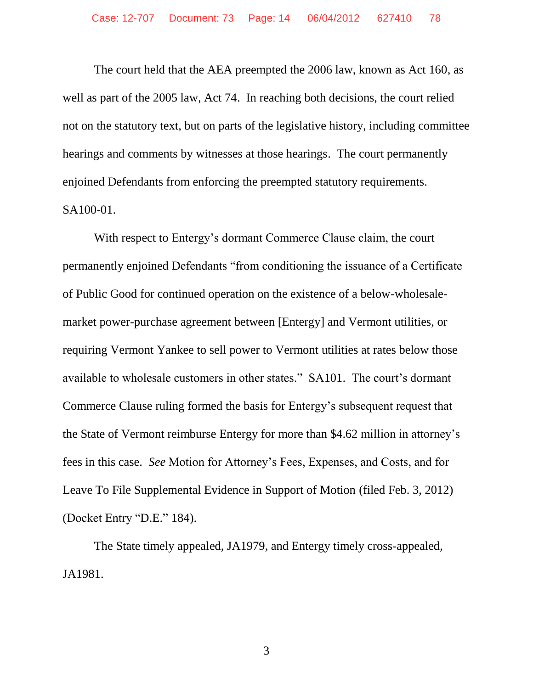The court held that the AEA preempted the 2006 law, known as Act 160, as well as part of the 2005 law, Act 74. In reaching both decisions, the court relied not on the statutory text, but on parts of the legislative history, including committee hearings and comments by witnesses at those hearings. The court permanently enjoined Defendants from enforcing the preempted statutory requirements. SA100-01.

With respect to Entergy's dormant Commerce Clause claim, the court permanently enjoined Defendants "from conditioning the issuance of a Certificate of Public Good for continued operation on the existence of a below-wholesalemarket power-purchase agreement between [Entergy] and Vermont utilities, or requiring Vermont Yankee to sell power to Vermont utilities at rates below those available to wholesale customers in other states." SA101. The court's dormant Commerce Clause ruling formed the basis for Entergy's subsequent request that the State of Vermont reimburse Entergy for more than \$4.62 million in attorney's fees in this case. *See* Motion for Attorney's Fees, Expenses, and Costs, and for Leave To File Supplemental Evidence in Support of Motion (filed Feb. 3, 2012) (Docket Entry "D.E." 184).

The State timely appealed, JA1979, and Entergy timely cross-appealed, JA1981.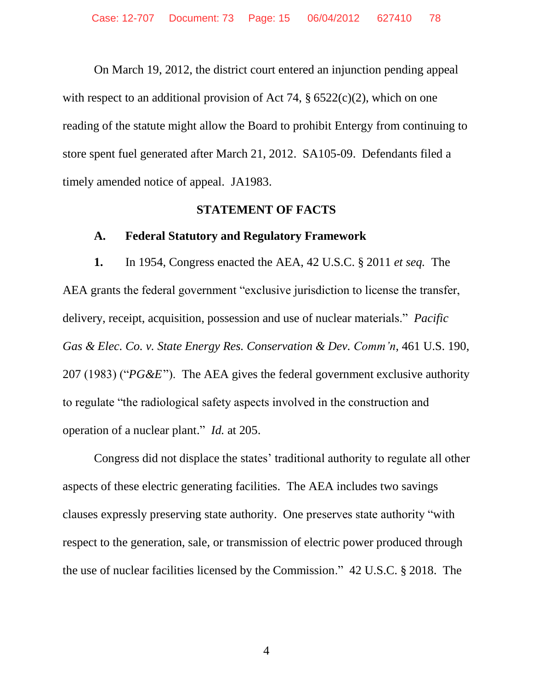On March 19, 2012, the district court entered an injunction pending appeal with respect to an additional provision of Act 74,  $\S 6522(c)(2)$ , which on one reading of the statute might allow the Board to prohibit Entergy from continuing to store spent fuel generated after March 21, 2012. SA105-09. Defendants filed a timely amended notice of appeal. JA1983.

#### **STATEMENT OF FACTS**

#### **A. Federal Statutory and Regulatory Framework**

**1.** In 1954, Congress enacted the AEA, 42 U.S.C. § 2011 *et seq.* The AEA grants the federal government "exclusive jurisdiction to license the transfer, delivery, receipt, acquisition, possession and use of nuclear materials." *Pacific Gas & Elec. Co. v. State Energy Res. Conservation & Dev. Comm'n*, 461 U.S. 190, 207 (1983) ("*PG&E*"). The AEA gives the federal government exclusive authority to regulate "the radiological safety aspects involved in the construction and operation of a nuclear plant." *Id.* at 205.

Congress did not displace the states' traditional authority to regulate all other aspects of these electric generating facilities. The AEA includes two savings clauses expressly preserving state authority. One preserves state authority "with respect to the generation, sale, or transmission of electric power produced through the use of nuclear facilities licensed by the Commission." 42 U.S.C. § 2018. The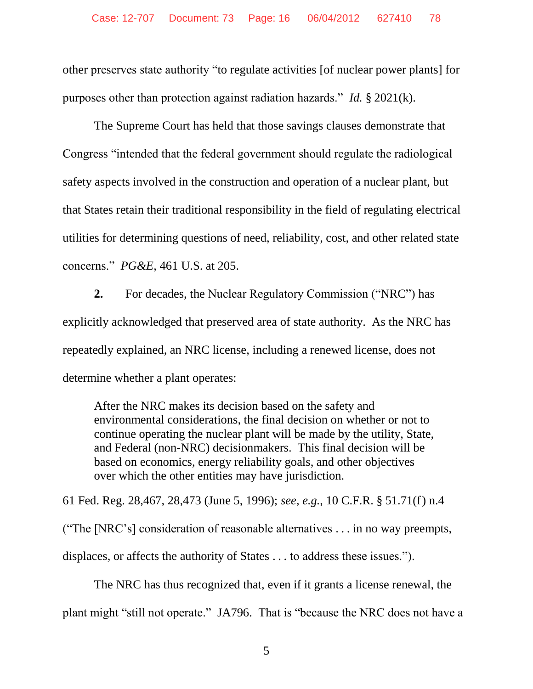other preserves state authority "to regulate activities [of nuclear power plants] for purposes other than protection against radiation hazards." *Id.* § 2021(k).

The Supreme Court has held that those savings clauses demonstrate that Congress "intended that the federal government should regulate the radiological safety aspects involved in the construction and operation of a nuclear plant, but that States retain their traditional responsibility in the field of regulating electrical utilities for determining questions of need, reliability, cost, and other related state concerns." *PG&E*, 461 U.S. at 205.

**2.** For decades, the Nuclear Regulatory Commission ("NRC") has explicitly acknowledged that preserved area of state authority. As the NRC has repeatedly explained, an NRC license, including a renewed license, does not determine whether a plant operates:

After the NRC makes its decision based on the safety and environmental considerations, the final decision on whether or not to continue operating the nuclear plant will be made by the utility, State, and Federal (non-NRC) decisionmakers. This final decision will be based on economics, energy reliability goals, and other objectives over which the other entities may have jurisdiction.

61 Fed. Reg. 28,467, 28,473 (June 5, 1996); *see*, *e.g.*, 10 C.F.R. § 51.71(f) n.4

("The [NRC's] consideration of reasonable alternatives . . . in no way preempts,

displaces, or affects the authority of States . . . to address these issues.").

The NRC has thus recognized that, even if it grants a license renewal, the

plant might "still not operate." JA796. That is "because the NRC does not have a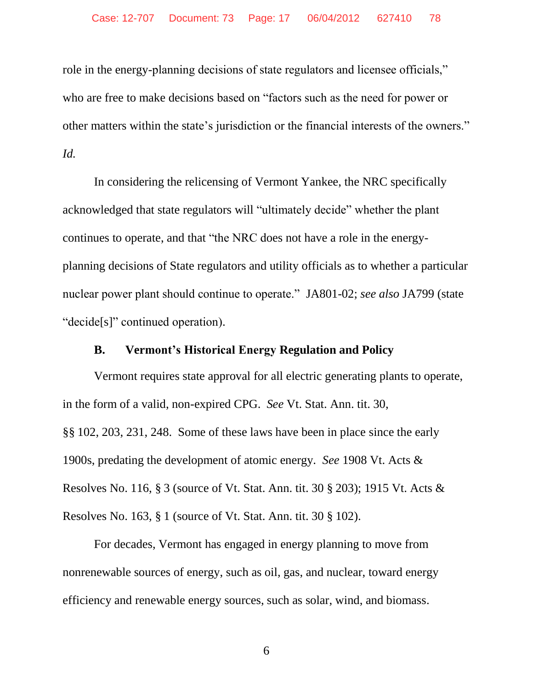role in the energy-planning decisions of state regulators and licensee officials," who are free to make decisions based on "factors such as the need for power or other matters within the state's jurisdiction or the financial interests of the owners." *Id.*

In considering the relicensing of Vermont Yankee, the NRC specifically acknowledged that state regulators will "ultimately decide" whether the plant continues to operate, and that "the NRC does not have a role in the energyplanning decisions of State regulators and utility officials as to whether a particular nuclear power plant should continue to operate." JA801-02; *see also* JA799 (state "decide[s]" continued operation).

#### **B. Vermont's Historical Energy Regulation and Policy**

Vermont requires state approval for all electric generating plants to operate, in the form of a valid, non-expired CPG. *See* Vt. Stat. Ann. tit. 30, §§ 102, 203, 231, 248. Some of these laws have been in place since the early 1900s, predating the development of atomic energy. *See* 1908 Vt. Acts & Resolves No. 116, § 3 (source of Vt. Stat. Ann. tit. 30 § 203); 1915 Vt. Acts & Resolves No. 163, § 1 (source of Vt. Stat. Ann. tit. 30 § 102).

For decades, Vermont has engaged in energy planning to move from nonrenewable sources of energy, such as oil, gas, and nuclear, toward energy efficiency and renewable energy sources, such as solar, wind, and biomass.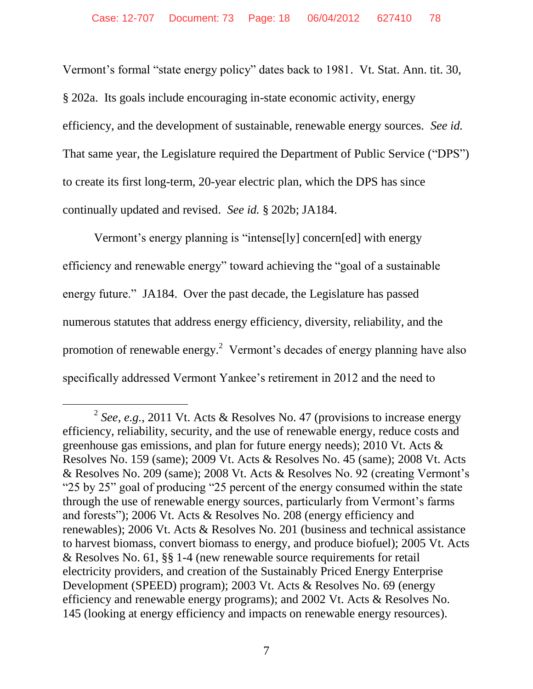Vermont's formal "state energy policy" dates back to 1981. Vt. Stat. Ann. tit. 30, § 202a. Its goals include encouraging in-state economic activity, energy efficiency, and the development of sustainable, renewable energy sources. *See id.*  That same year, the Legislature required the Department of Public Service ("DPS") to create its first long-term, 20-year electric plan, which the DPS has since continually updated and revised. *See id.* § 202b; JA184.

Vermont's energy planning is "intense[ly] concern[ed] with energy efficiency and renewable energy" toward achieving the "goal of a sustainable energy future." JA184. Over the past decade, the Legislature has passed numerous statutes that address energy efficiency, diversity, reliability, and the promotion of renewable energy.<sup>2</sup> Vermont's decades of energy planning have also specifically addressed Vermont Yankee's retirement in 2012 and the need to

 $\overline{a}$ 

<sup>2</sup> *See*, *e.g.*, 2011 Vt. Acts & Resolves No. 47 (provisions to increase energy efficiency, reliability, security, and the use of renewable energy, reduce costs and greenhouse gas emissions, and plan for future energy needs); 2010 Vt. Acts & Resolves No. 159 (same); 2009 Vt. Acts & Resolves No. 45 (same); 2008 Vt. Acts & Resolves No. 209 (same); 2008 Vt. Acts & Resolves No. 92 (creating Vermont's "25 by 25" goal of producing "25 percent of the energy consumed within the state through the use of renewable energy sources, particularly from Vermont's farms and forests"); 2006 Vt. Acts & Resolves No. 208 (energy efficiency and renewables); 2006 Vt. Acts & Resolves No. 201 (business and technical assistance to harvest biomass, convert biomass to energy, and produce biofuel); 2005 Vt. Acts & Resolves No. 61, §§ 1-4 (new renewable source requirements for retail electricity providers, and creation of the Sustainably Priced Energy Enterprise Development (SPEED) program); 2003 Vt. Acts & Resolves No. 69 (energy efficiency and renewable energy programs); and 2002 Vt. Acts & Resolves No. 145 (looking at energy efficiency and impacts on renewable energy resources).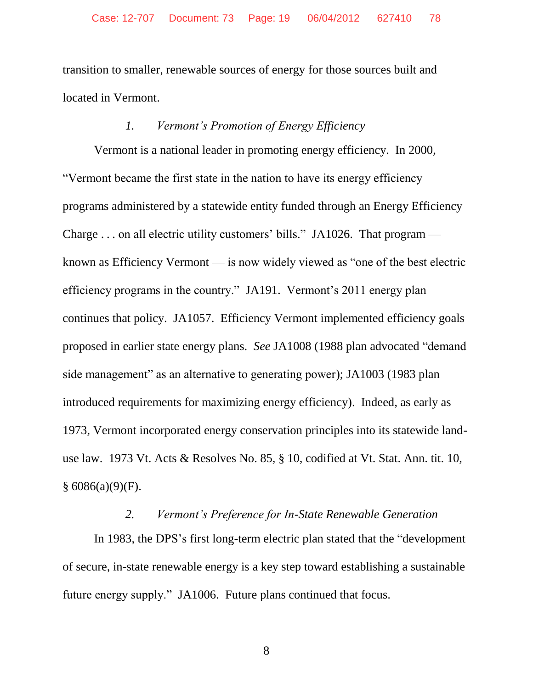transition to smaller, renewable sources of energy for those sources built and located in Vermont.

## *1. Vermont's Promotion of Energy Efficiency*

Vermont is a national leader in promoting energy efficiency. In 2000, "Vermont became the first state in the nation to have its energy efficiency programs administered by a statewide entity funded through an Energy Efficiency Charge . . . on all electric utility customers' bills." JA1026. That program known as Efficiency Vermont — is now widely viewed as "one of the best electric efficiency programs in the country." JA191. Vermont's 2011 energy plan continues that policy. JA1057. Efficiency Vermont implemented efficiency goals proposed in earlier state energy plans. *See* JA1008 (1988 plan advocated "demand side management" as an alternative to generating power); JA1003 (1983 plan introduced requirements for maximizing energy efficiency). Indeed, as early as 1973, Vermont incorporated energy conservation principles into its statewide landuse law. 1973 Vt. Acts & Resolves No. 85, § 10, codified at Vt. Stat. Ann. tit. 10,  $§ 6086(a)(9)(F).$ 

## *2. Vermont's Preference for In-State Renewable Generation*

In 1983, the DPS's first long-term electric plan stated that the "development of secure, in-state renewable energy is a key step toward establishing a sustainable future energy supply." JA1006. Future plans continued that focus.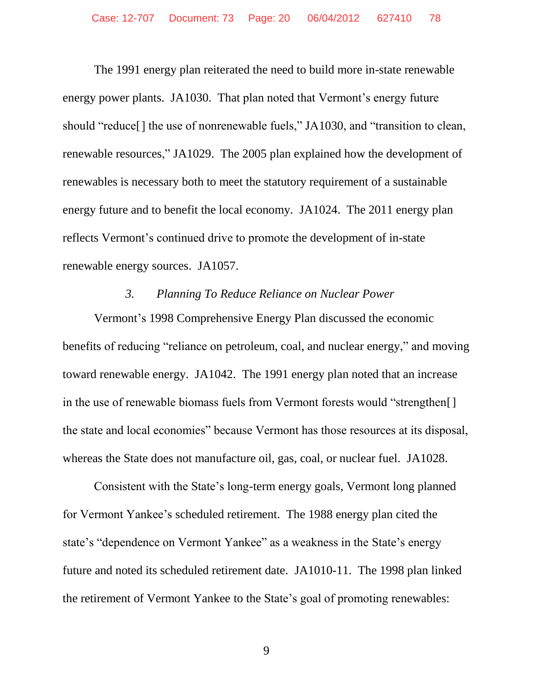The 1991 energy plan reiterated the need to build more in-state renewable energy power plants. JA1030. That plan noted that Vermont's energy future should "reduce[] the use of nonrenewable fuels," JA1030, and "transition to clean, renewable resources," JA1029. The 2005 plan explained how the development of renewables is necessary both to meet the statutory requirement of a sustainable energy future and to benefit the local economy. JA1024. The 2011 energy plan reflects Vermont's continued drive to promote the development of in-state renewable energy sources. JA1057.

#### *3. Planning To Reduce Reliance on Nuclear Power*

Vermont's 1998 Comprehensive Energy Plan discussed the economic benefits of reducing "reliance on petroleum, coal, and nuclear energy," and moving toward renewable energy. JA1042. The 1991 energy plan noted that an increase in the use of renewable biomass fuels from Vermont forests would "strengthen[] the state and local economies" because Vermont has those resources at its disposal, whereas the State does not manufacture oil, gas, coal, or nuclear fuel. JA1028.

Consistent with the State's long-term energy goals, Vermont long planned for Vermont Yankee's scheduled retirement. The 1988 energy plan cited the state's "dependence on Vermont Yankee" as a weakness in the State's energy future and noted its scheduled retirement date. JA1010-11. The 1998 plan linked the retirement of Vermont Yankee to the State's goal of promoting renewables: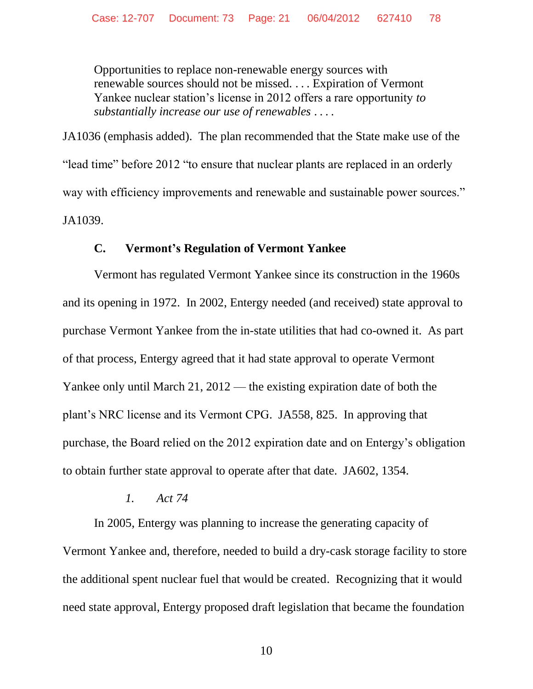Opportunities to replace non-renewable energy sources with renewable sources should not be missed. . . . Expiration of Vermont Yankee nuclear station's license in 2012 offers a rare opportunity *to substantially increase our use of renewables* ... .

JA1036 (emphasis added). The plan recommended that the State make use of the "lead time" before 2012 "to ensure that nuclear plants are replaced in an orderly way with efficiency improvements and renewable and sustainable power sources." JA1039.

## **C. Vermont's Regulation of Vermont Yankee**

Vermont has regulated Vermont Yankee since its construction in the 1960s and its opening in 1972. In 2002, Entergy needed (and received) state approval to purchase Vermont Yankee from the in-state utilities that had co-owned it. As part of that process, Entergy agreed that it had state approval to operate Vermont Yankee only until March 21, 2012 — the existing expiration date of both the plant's NRC license and its Vermont CPG. JA558, 825. In approving that purchase, the Board relied on the 2012 expiration date and on Entergy's obligation to obtain further state approval to operate after that date. JA602, 1354.

## *1. Act 74*

In 2005, Entergy was planning to increase the generating capacity of Vermont Yankee and, therefore, needed to build a dry-cask storage facility to store the additional spent nuclear fuel that would be created. Recognizing that it would need state approval, Entergy proposed draft legislation that became the foundation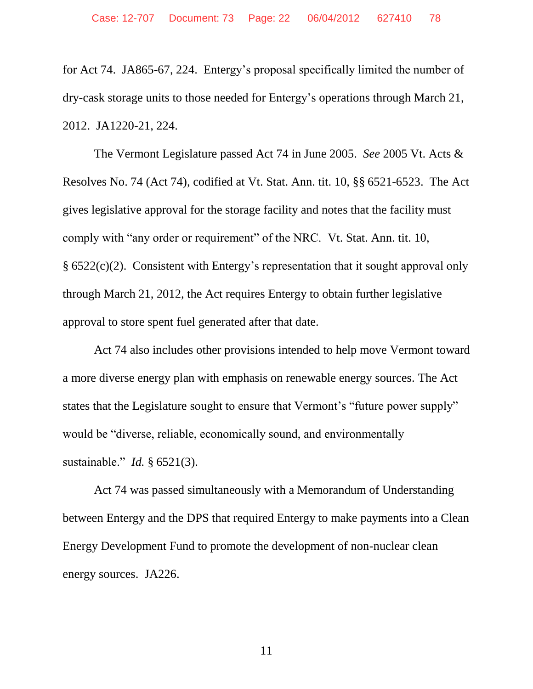for Act 74. JA865-67, 224. Entergy's proposal specifically limited the number of dry-cask storage units to those needed for Entergy's operations through March 21, 2012. JA1220-21, 224.

The Vermont Legislature passed Act 74 in June 2005. *See* 2005 Vt. Acts & Resolves No. 74 (Act 74), codified at Vt. Stat. Ann. tit. 10, §§ 6521-6523. The Act gives legislative approval for the storage facility and notes that the facility must comply with "any order or requirement" of the NRC. Vt. Stat. Ann. tit. 10, § 6522(c)(2). Consistent with Entergy's representation that it sought approval only through March 21, 2012, the Act requires Entergy to obtain further legislative approval to store spent fuel generated after that date.

Act 74 also includes other provisions intended to help move Vermont toward a more diverse energy plan with emphasis on renewable energy sources. The Act states that the Legislature sought to ensure that Vermont's "future power supply" would be "diverse, reliable, economically sound, and environmentally sustainable." *Id.* § 6521(3).

Act 74 was passed simultaneously with a Memorandum of Understanding between Entergy and the DPS that required Entergy to make payments into a Clean Energy Development Fund to promote the development of non-nuclear clean energy sources. JA226.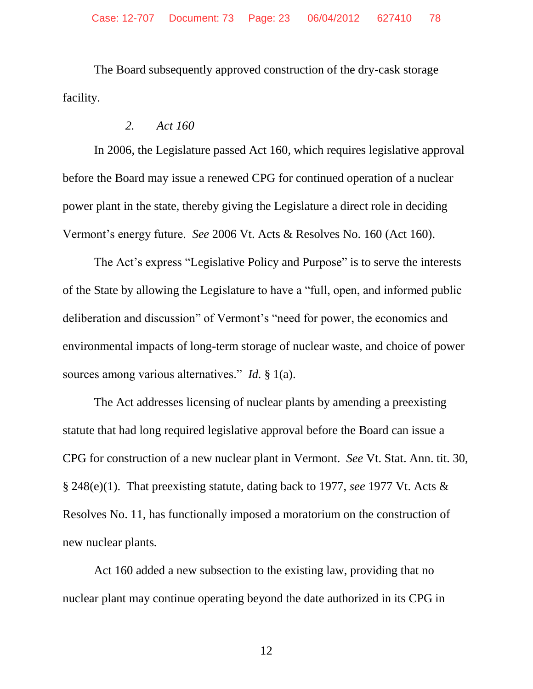The Board subsequently approved construction of the dry-cask storage facility.

#### *2. Act 160*

In 2006, the Legislature passed Act 160, which requires legislative approval before the Board may issue a renewed CPG for continued operation of a nuclear power plant in the state, thereby giving the Legislature a direct role in deciding Vermont's energy future. *See* 2006 Vt. Acts & Resolves No. 160 (Act 160).

The Act's express "Legislative Policy and Purpose" is to serve the interests of the State by allowing the Legislature to have a "full, open, and informed public deliberation and discussion" of Vermont's "need for power, the economics and environmental impacts of long-term storage of nuclear waste, and choice of power sources among various alternatives." *Id.* § 1(a).

The Act addresses licensing of nuclear plants by amending a preexisting statute that had long required legislative approval before the Board can issue a CPG for construction of a new nuclear plant in Vermont. *See* Vt. Stat. Ann. tit. 30, § 248(e)(1). That preexisting statute, dating back to 1977, *see* 1977 Vt. Acts & Resolves No. 11, has functionally imposed a moratorium on the construction of new nuclear plants*.*

Act 160 added a new subsection to the existing law, providing that no nuclear plant may continue operating beyond the date authorized in its CPG in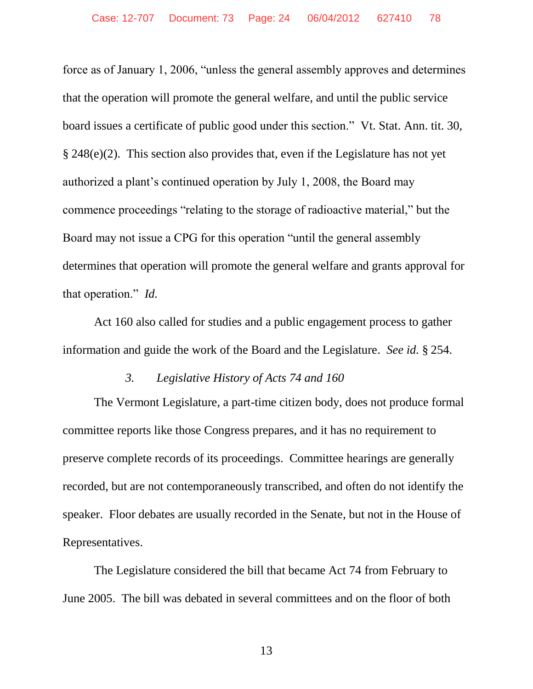force as of January 1, 2006, "unless the general assembly approves and determines that the operation will promote the general welfare, and until the public service board issues a certificate of public good under this section." Vt. Stat. Ann. tit. 30, § 248(e)(2). This section also provides that, even if the Legislature has not yet authorized a plant's continued operation by July 1, 2008, the Board may commence proceedings "relating to the storage of radioactive material," but the Board may not issue a CPG for this operation "until the general assembly determines that operation will promote the general welfare and grants approval for that operation." *Id.*

Act 160 also called for studies and a public engagement process to gather information and guide the work of the Board and the Legislature. *See id.* § 254.

#### *3. Legislative History of Acts 74 and 160*

The Vermont Legislature, a part-time citizen body, does not produce formal committee reports like those Congress prepares, and it has no requirement to preserve complete records of its proceedings. Committee hearings are generally recorded, but are not contemporaneously transcribed, and often do not identify the speaker. Floor debates are usually recorded in the Senate, but not in the House of Representatives.

The Legislature considered the bill that became Act 74 from February to June 2005. The bill was debated in several committees and on the floor of both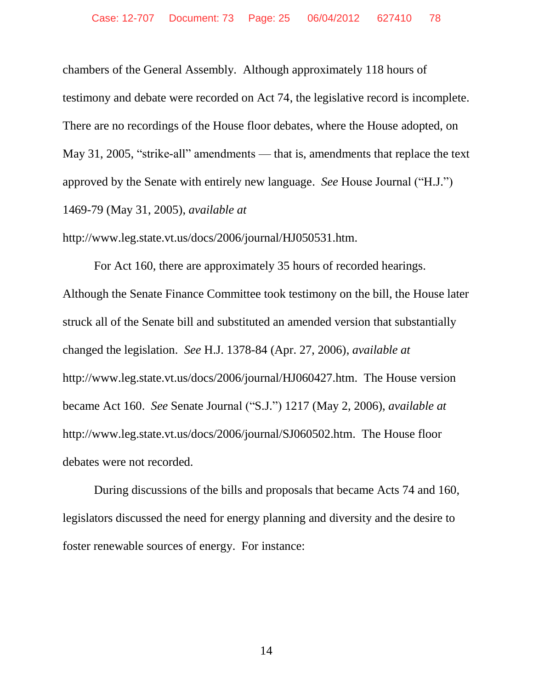chambers of the General Assembly. Although approximately 118 hours of testimony and debate were recorded on Act 74, the legislative record is incomplete. There are no recordings of the House floor debates, where the House adopted, on May 31, 2005, "strike-all" amendments — that is, amendments that replace the text approved by the Senate with entirely new language. *See* House Journal ("H.J.") 1469-79 (May 31, 2005), *available at*

http://www.leg.state.vt.us/docs/2006/journal/HJ050531.htm.

For Act 160, there are approximately 35 hours of recorded hearings. Although the Senate Finance Committee took testimony on the bill, the House later struck all of the Senate bill and substituted an amended version that substantially changed the legislation. *See* H.J. 1378-84 (Apr. 27, 2006), *available at* http://www.leg.state.vt.us/docs/2006/journal/HJ060427.htm. The House version became Act 160. *See* Senate Journal ("S.J.") 1217 (May 2, 2006), *available at* http://www.leg.state.vt.us/docs/2006/journal/SJ060502.htm. The House floor debates were not recorded.

During discussions of the bills and proposals that became Acts 74 and 160, legislators discussed the need for energy planning and diversity and the desire to foster renewable sources of energy. For instance: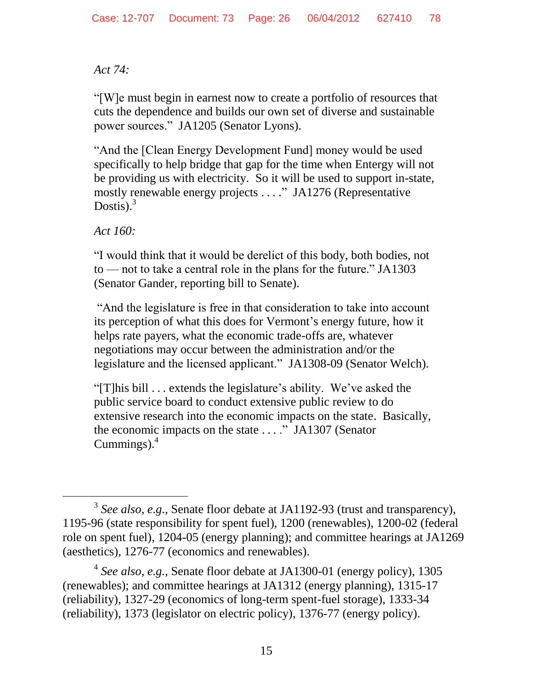# *Act 74:*

"[W]e must begin in earnest now to create a portfolio of resources that cuts the dependence and builds our own set of diverse and sustainable power sources." JA1205 (Senator Lyons).

"And the [Clean Energy Development Fund] money would be used specifically to help bridge that gap for the time when Entergy will not be providing us with electricity. So it will be used to support in-state, mostly renewable energy projects . . . ." JA1276 (Representative Dostis). $3$ 

*Act 160:*

 $\overline{a}$ 

"I would think that it would be derelict of this body, both bodies, not to — not to take a central role in the plans for the future." JA1303 (Senator Gander, reporting bill to Senate).

"And the legislature is free in that consideration to take into account its perception of what this does for Vermont's energy future, how it helps rate payers, what the economic trade-offs are, whatever negotiations may occur between the administration and/or the legislature and the licensed applicant." JA1308-09 (Senator Welch).

"[T]his bill . . . extends the legislature's ability. We've asked the public service board to conduct extensive public review to do extensive research into the economic impacts on the state. Basically, the economic impacts on the state . . . ." JA1307 (Senator Cummings). $<sup>4</sup>$ </sup>

4 *See also*, *e.g.*, Senate floor debate at JA1300-01 (energy policy), 1305 (renewables); and committee hearings at JA1312 (energy planning), 1315-17 (reliability), 1327-29 (economics of long-term spent-fuel storage), 1333-34 (reliability), 1373 (legislator on electric policy), 1376-77 (energy policy).

<sup>3</sup> *See also*, *e.g.*, Senate floor debate at JA1192-93 (trust and transparency), 1195-96 (state responsibility for spent fuel), 1200 (renewables), 1200-02 (federal role on spent fuel), 1204-05 (energy planning); and committee hearings at JA1269 (aesthetics), 1276-77 (economics and renewables).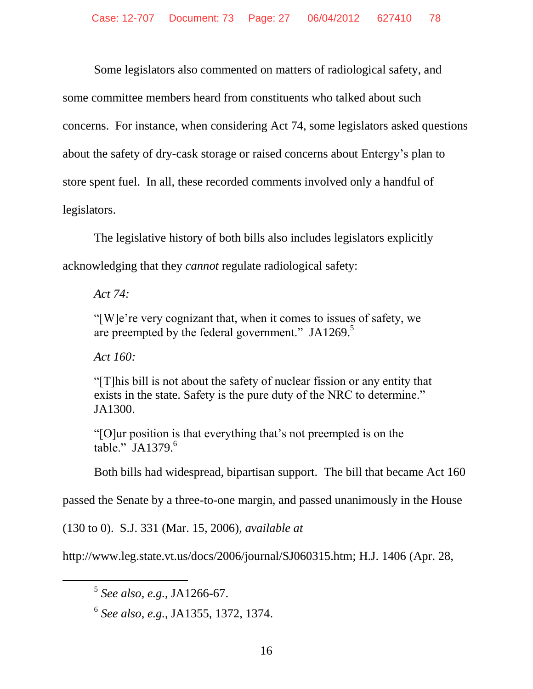Some legislators also commented on matters of radiological safety, and some committee members heard from constituents who talked about such concerns. For instance, when considering Act 74, some legislators asked questions about the safety of dry-cask storage or raised concerns about Entergy's plan to store spent fuel. In all, these recorded comments involved only a handful of legislators.

The legislative history of both bills also includes legislators explicitly acknowledging that they *cannot* regulate radiological safety:

*Act 74:*

"[W]e're very cognizant that, when it comes to issues of safety, we are preempted by the federal government."  $JA1269$ .<sup>5</sup>

*Act 160:*

l

"[T]his bill is not about the safety of nuclear fission or any entity that exists in the state. Safety is the pure duty of the NRC to determine." JA1300.

"[O]ur position is that everything that's not preempted is on the table." JA1379. 6

Both bills had widespread, bipartisan support. The bill that became Act 160

passed the Senate by a three-to-one margin, and passed unanimously in the House

(130 to 0). S.J. 331 (Mar. 15, 2006), *available at* 

http://www.leg.state.vt.us/docs/2006/journal/SJ060315.htm; H.J. 1406 (Apr. 28,

6 *See also*, *e.g.*, JA1355, 1372, 1374.

<sup>5</sup> *See also*, *e.g.*, JA1266-67.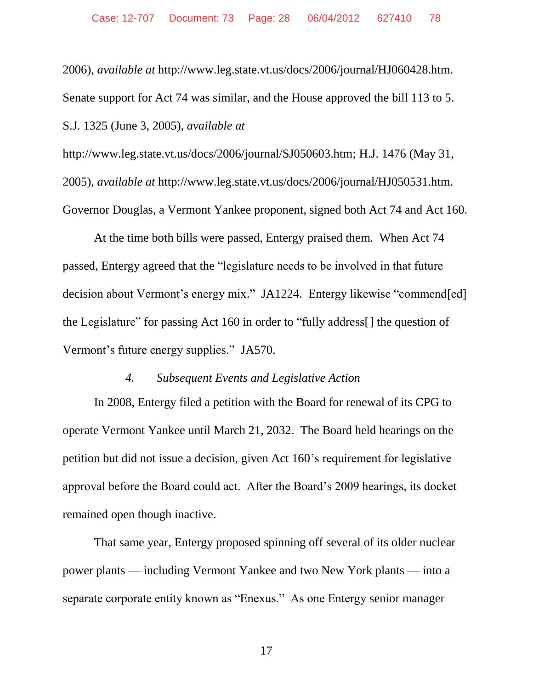2006), *available at* http://www.leg.state.vt.us/docs/2006/journal/HJ060428.htm. Senate support for Act 74 was similar, and the House approved the bill 113 to 5. S.J. 1325 (June 3, 2005), *available at* 

http://www.leg.state.vt.us/docs/2006/journal/SJ050603.htm; H.J. 1476 (May 31, 2005), *available at* http://www.leg.state.vt.us/docs/2006/journal/HJ050531.htm. Governor Douglas, a Vermont Yankee proponent, signed both Act 74 and Act 160.

At the time both bills were passed, Entergy praised them. When Act 74 passed, Entergy agreed that the "legislature needs to be involved in that future decision about Vermont's energy mix." JA1224. Entergy likewise "commend[ed] the Legislature" for passing Act 160 in order to "fully address[] the question of Vermont's future energy supplies." JA570.

#### *4. Subsequent Events and Legislative Action*

In 2008, Entergy filed a petition with the Board for renewal of its CPG to operate Vermont Yankee until March 21, 2032. The Board held hearings on the petition but did not issue a decision, given Act 160's requirement for legislative approval before the Board could act. After the Board's 2009 hearings, its docket remained open though inactive.

That same year, Entergy proposed spinning off several of its older nuclear power plants — including Vermont Yankee and two New York plants — into a separate corporate entity known as "Enexus." As one Entergy senior manager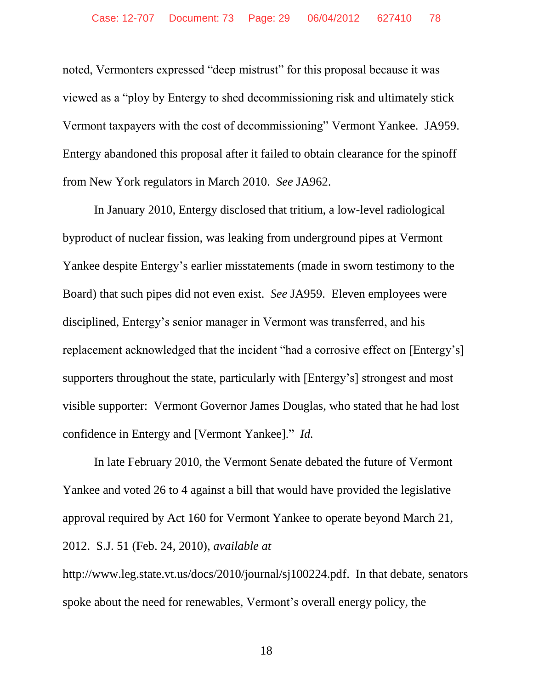noted, Vermonters expressed "deep mistrust" for this proposal because it was viewed as a "ploy by Entergy to shed decommissioning risk and ultimately stick Vermont taxpayers with the cost of decommissioning" Vermont Yankee. JA959. Entergy abandoned this proposal after it failed to obtain clearance for the spinoff from New York regulators in March 2010. *See* JA962.

In January 2010, Entergy disclosed that tritium, a low-level radiological byproduct of nuclear fission, was leaking from underground pipes at Vermont Yankee despite Entergy's earlier misstatements (made in sworn testimony to the Board) that such pipes did not even exist. *See* JA959. Eleven employees were disciplined, Entergy's senior manager in Vermont was transferred, and his replacement acknowledged that the incident "had a corrosive effect on [Entergy's] supporters throughout the state, particularly with [Entergy's] strongest and most visible supporter: Vermont Governor James Douglas, who stated that he had lost confidence in Entergy and [Vermont Yankee]." *Id.*

In late February 2010, the Vermont Senate debated the future of Vermont Yankee and voted 26 to 4 against a bill that would have provided the legislative approval required by Act 160 for Vermont Yankee to operate beyond March 21, 2012. S.J. 51 (Feb. 24, 2010), *available at* 

http://www.leg.state.vt.us/docs/2010/journal/sj100224.pdf. In that debate, senators spoke about the need for renewables, Vermont's overall energy policy, the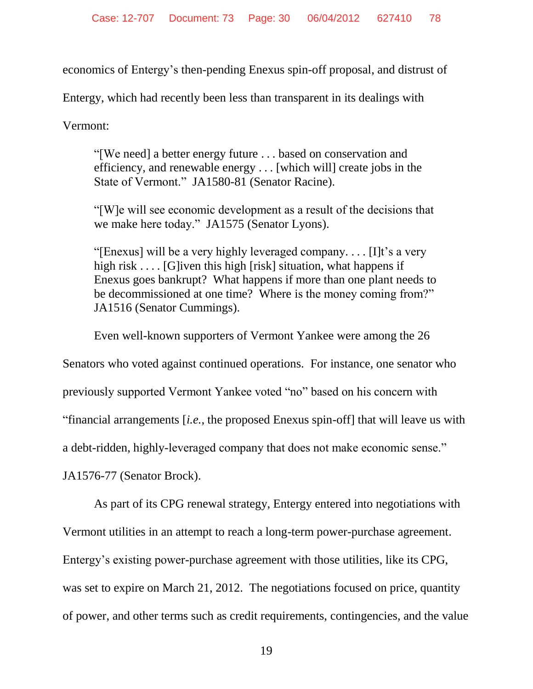economics of Entergy's then-pending Enexus spin-off proposal, and distrust of

Entergy, which had recently been less than transparent in its dealings with

Vermont:

"[We need] a better energy future . . . based on conservation and efficiency, and renewable energy . . . [which will] create jobs in the State of Vermont." JA1580-81 (Senator Racine).

"[W]e will see economic development as a result of the decisions that we make here today." JA1575 (Senator Lyons).

"[Enexus] will be a very highly leveraged company. . . . [I]t's a very high risk . . . . [G]iven this high [risk] situation, what happens if Enexus goes bankrupt? What happens if more than one plant needs to be decommissioned at one time? Where is the money coming from?" JA1516 (Senator Cummings).

Even well-known supporters of Vermont Yankee were among the 26

Senators who voted against continued operations. For instance, one senator who

previously supported Vermont Yankee voted "no" based on his concern with

"financial arrangements [*i.e.*, the proposed Enexus spin-off] that will leave us with

a debt-ridden, highly-leveraged company that does not make economic sense."

JA1576-77 (Senator Brock).

As part of its CPG renewal strategy, Entergy entered into negotiations with Vermont utilities in an attempt to reach a long-term power-purchase agreement. Entergy's existing power-purchase agreement with those utilities, like its CPG, was set to expire on March 21, 2012. The negotiations focused on price, quantity of power, and other terms such as credit requirements, contingencies, and the value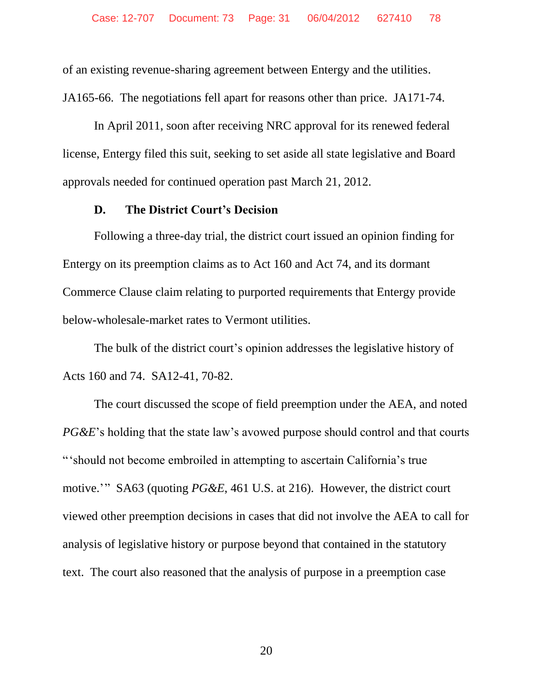of an existing revenue-sharing agreement between Entergy and the utilities.

JA165-66. The negotiations fell apart for reasons other than price. JA171-74.

In April 2011, soon after receiving NRC approval for its renewed federal license, Entergy filed this suit, seeking to set aside all state legislative and Board approvals needed for continued operation past March 21, 2012.

#### **D. The District Court's Decision**

Following a three-day trial, the district court issued an opinion finding for Entergy on its preemption claims as to Act 160 and Act 74, and its dormant Commerce Clause claim relating to purported requirements that Entergy provide below-wholesale-market rates to Vermont utilities.

The bulk of the district court's opinion addresses the legislative history of Acts 160 and 74. SA12-41, 70-82.

The court discussed the scope of field preemption under the AEA, and noted *PG&E*'s holding that the state law's avowed purpose should control and that courts "'should not become embroiled in attempting to ascertain California's true motive.'" SA63 (quoting *PG&E*, 461 U.S. at 216). However, the district court viewed other preemption decisions in cases that did not involve the AEA to call for analysis of legislative history or purpose beyond that contained in the statutory text. The court also reasoned that the analysis of purpose in a preemption case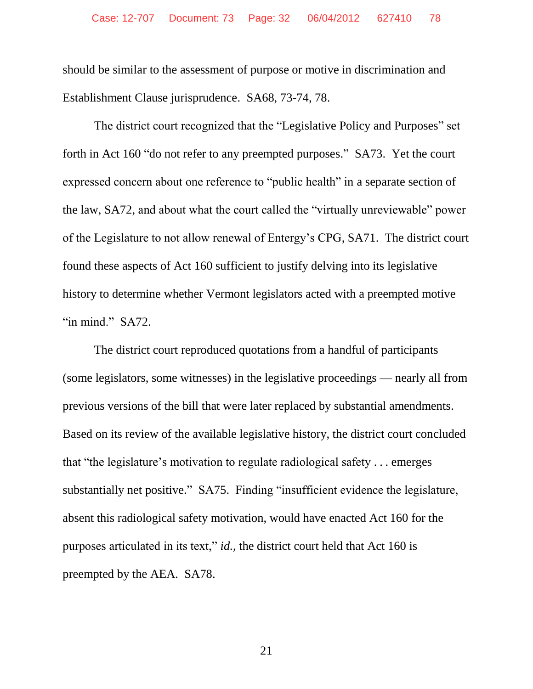should be similar to the assessment of purpose or motive in discrimination and Establishment Clause jurisprudence. SA68, 73-74, 78.

The district court recognized that the "Legislative Policy and Purposes" set forth in Act 160 "do not refer to any preempted purposes." SA73. Yet the court expressed concern about one reference to "public health" in a separate section of the law, SA72, and about what the court called the "virtually unreviewable" power of the Legislature to not allow renewal of Entergy's CPG, SA71. The district court found these aspects of Act 160 sufficient to justify delving into its legislative history to determine whether Vermont legislators acted with a preempted motive "in mind." SA72.

The district court reproduced quotations from a handful of participants (some legislators, some witnesses) in the legislative proceedings — nearly all from previous versions of the bill that were later replaced by substantial amendments. Based on its review of the available legislative history, the district court concluded that "the legislature's motivation to regulate radiological safety . . . emerges substantially net positive." SA75. Finding "insufficient evidence the legislature, absent this radiological safety motivation, would have enacted Act 160 for the purposes articulated in its text," *id.*, the district court held that Act 160 is preempted by the AEA. SA78.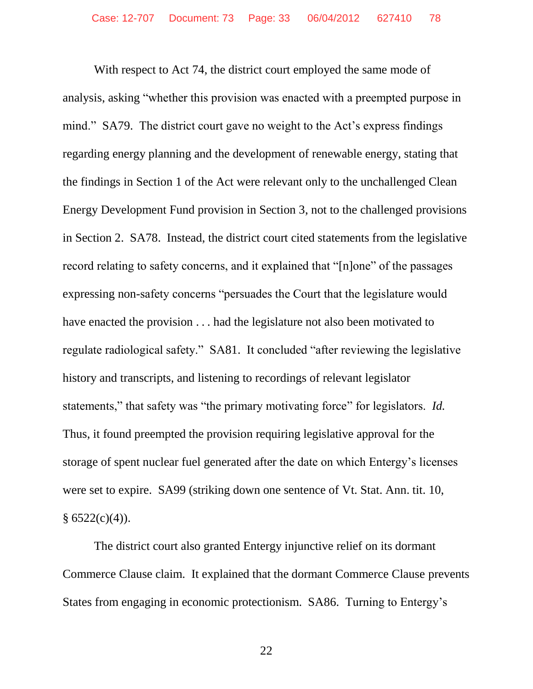With respect to Act 74, the district court employed the same mode of analysis, asking "whether this provision was enacted with a preempted purpose in mind." SA79. The district court gave no weight to the Act's express findings regarding energy planning and the development of renewable energy, stating that the findings in Section 1 of the Act were relevant only to the unchallenged Clean Energy Development Fund provision in Section 3, not to the challenged provisions in Section 2. SA78. Instead, the district court cited statements from the legislative record relating to safety concerns, and it explained that "[n]one" of the passages expressing non-safety concerns "persuades the Court that the legislature would have enacted the provision . . . had the legislature not also been motivated to regulate radiological safety." SA81. It concluded "after reviewing the legislative history and transcripts, and listening to recordings of relevant legislator statements," that safety was "the primary motivating force" for legislators. *Id.* Thus, it found preempted the provision requiring legislative approval for the storage of spent nuclear fuel generated after the date on which Entergy's licenses were set to expire. SA99 (striking down one sentence of Vt. Stat. Ann. tit. 10,  $§ 6522(c)(4)).$ 

The district court also granted Entergy injunctive relief on its dormant Commerce Clause claim. It explained that the dormant Commerce Clause prevents States from engaging in economic protectionism. SA86. Turning to Entergy's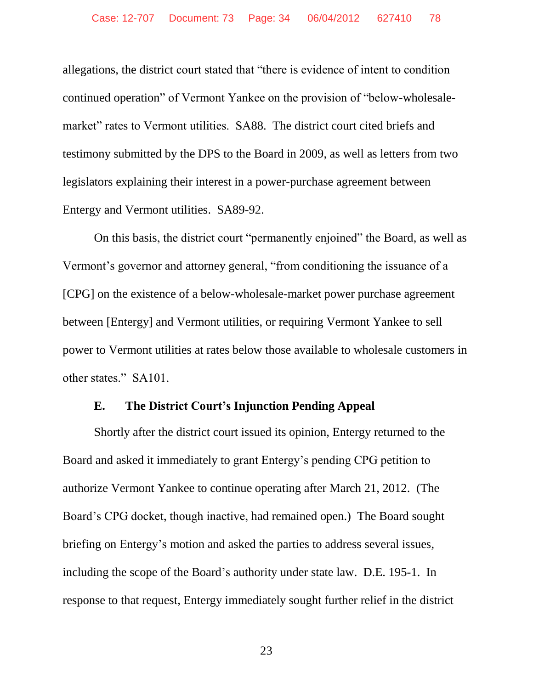allegations, the district court stated that "there is evidence of intent to condition continued operation" of Vermont Yankee on the provision of "below-wholesalemarket" rates to Vermont utilities. SA88. The district court cited briefs and testimony submitted by the DPS to the Board in 2009, as well as letters from two legislators explaining their interest in a power-purchase agreement between Entergy and Vermont utilities. SA89-92.

On this basis, the district court "permanently enjoined" the Board, as well as Vermont's governor and attorney general, "from conditioning the issuance of a [CPG] on the existence of a below-wholesale-market power purchase agreement between [Entergy] and Vermont utilities, or requiring Vermont Yankee to sell power to Vermont utilities at rates below those available to wholesale customers in other states." SA101.

#### **E. The District Court's Injunction Pending Appeal**

Shortly after the district court issued its opinion, Entergy returned to the Board and asked it immediately to grant Entergy's pending CPG petition to authorize Vermont Yankee to continue operating after March 21, 2012. (The Board's CPG docket, though inactive, had remained open.) The Board sought briefing on Entergy's motion and asked the parties to address several issues, including the scope of the Board's authority under state law. D.E. 195-1. In response to that request, Entergy immediately sought further relief in the district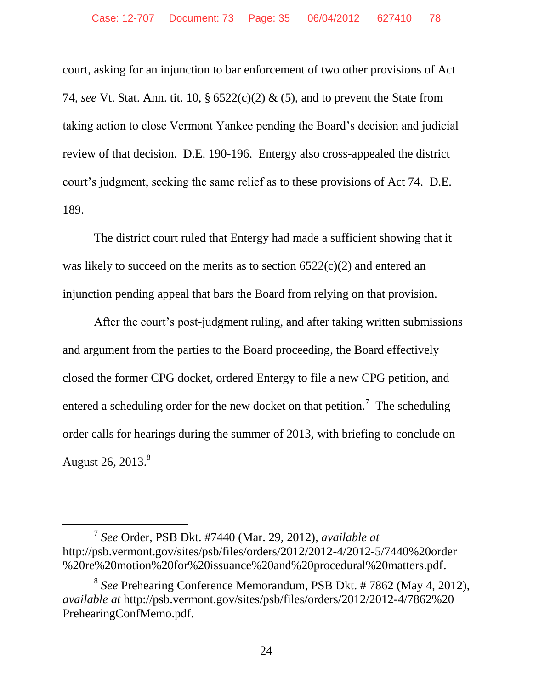court, asking for an injunction to bar enforcement of two other provisions of Act 74, *see* Vt. Stat. Ann. tit. 10, § 6522(c)(2) & (5), and to prevent the State from taking action to close Vermont Yankee pending the Board's decision and judicial review of that decision. D.E. 190-196. Entergy also cross-appealed the district court's judgment, seeking the same relief as to these provisions of Act 74. D.E. 189.

The district court ruled that Entergy had made a sufficient showing that it was likely to succeed on the merits as to section 6522(c)(2) and entered an injunction pending appeal that bars the Board from relying on that provision.

After the court's post-judgment ruling, and after taking written submissions and argument from the parties to the Board proceeding, the Board effectively closed the former CPG docket, ordered Entergy to file a new CPG petition, and entered a scheduling order for the new docket on that petition.<sup>7</sup> The scheduling order calls for hearings during the summer of 2013, with briefing to conclude on August 26, 2013.<sup>8</sup>

 $\overline{a}$ 

<sup>7</sup> *See* Order, PSB Dkt. #7440 (Mar. 29, 2012), *available at*  http://psb.vermont.gov/sites/psb/files/orders/2012/2012-4/2012-5/7440%20order %20re%20motion%20for%20issuance%20and%20procedural%20matters.pdf.

<sup>8</sup> *See* Prehearing Conference Memorandum, PSB Dkt. # 7862 (May 4, 2012), *available at* http://psb.vermont.gov/sites/psb/files/orders/2012/2012-4/7862%20 PrehearingConfMemo.pdf.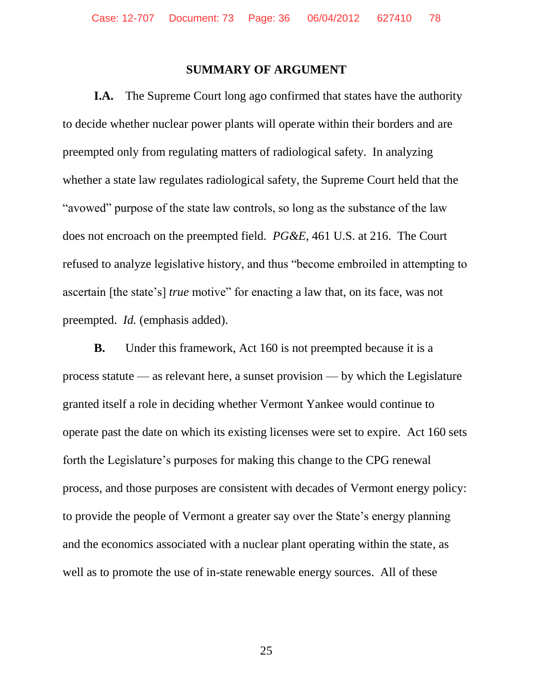#### **SUMMARY OF ARGUMENT**

**I.A.** The Supreme Court long ago confirmed that states have the authority to decide whether nuclear power plants will operate within their borders and are preempted only from regulating matters of radiological safety. In analyzing whether a state law regulates radiological safety, the Supreme Court held that the "avowed" purpose of the state law controls, so long as the substance of the law does not encroach on the preempted field. *PG&E*, 461 U.S. at 216. The Court refused to analyze legislative history, and thus "become embroiled in attempting to ascertain [the state's] *true* motive" for enacting a law that, on its face, was not preempted. *Id.* (emphasis added).

**B.** Under this framework, Act 160 is not preempted because it is a process statute — as relevant here, a sunset provision — by which the Legislature granted itself a role in deciding whether Vermont Yankee would continue to operate past the date on which its existing licenses were set to expire. Act 160 sets forth the Legislature's purposes for making this change to the CPG renewal process, and those purposes are consistent with decades of Vermont energy policy: to provide the people of Vermont a greater say over the State's energy planning and the economics associated with a nuclear plant operating within the state, as well as to promote the use of in-state renewable energy sources. All of these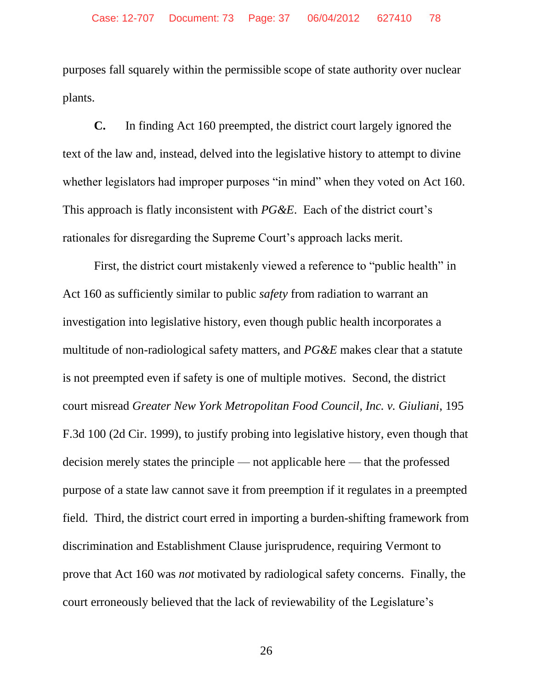purposes fall squarely within the permissible scope of state authority over nuclear plants.

**C.** In finding Act 160 preempted, the district court largely ignored the text of the law and, instead, delved into the legislative history to attempt to divine whether legislators had improper purposes "in mind" when they voted on Act 160. This approach is flatly inconsistent with *PG&E*. Each of the district court's rationales for disregarding the Supreme Court's approach lacks merit.

First, the district court mistakenly viewed a reference to "public health" in Act 160 as sufficiently similar to public *safety* from radiation to warrant an investigation into legislative history, even though public health incorporates a multitude of non-radiological safety matters, and *PG&E* makes clear that a statute is not preempted even if safety is one of multiple motives. Second, the district court misread *Greater New York Metropolitan Food Council, Inc. v. Giuliani*, 195 F.3d 100 (2d Cir. 1999), to justify probing into legislative history, even though that decision merely states the principle — not applicable here — that the professed purpose of a state law cannot save it from preemption if it regulates in a preempted field. Third, the district court erred in importing a burden-shifting framework from discrimination and Establishment Clause jurisprudence, requiring Vermont to prove that Act 160 was *not* motivated by radiological safety concerns. Finally, the court erroneously believed that the lack of reviewability of the Legislature's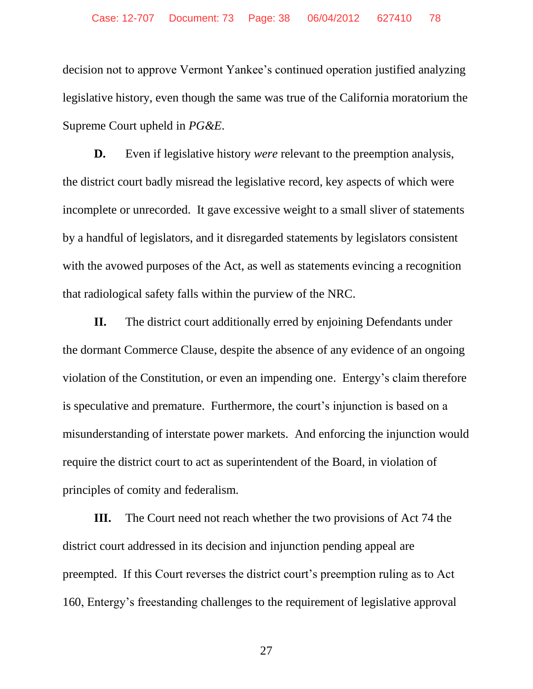decision not to approve Vermont Yankee's continued operation justified analyzing legislative history, even though the same was true of the California moratorium the Supreme Court upheld in *PG&E*.

**D.** Even if legislative history *were* relevant to the preemption analysis, the district court badly misread the legislative record, key aspects of which were incomplete or unrecorded. It gave excessive weight to a small sliver of statements by a handful of legislators, and it disregarded statements by legislators consistent with the avowed purposes of the Act, as well as statements evincing a recognition that radiological safety falls within the purview of the NRC.

**II.** The district court additionally erred by enjoining Defendants under the dormant Commerce Clause, despite the absence of any evidence of an ongoing violation of the Constitution, or even an impending one. Entergy's claim therefore is speculative and premature. Furthermore, the court's injunction is based on a misunderstanding of interstate power markets. And enforcing the injunction would require the district court to act as superintendent of the Board, in violation of principles of comity and federalism.

**III.** The Court need not reach whether the two provisions of Act 74 the district court addressed in its decision and injunction pending appeal are preempted. If this Court reverses the district court's preemption ruling as to Act 160, Entergy's freestanding challenges to the requirement of legislative approval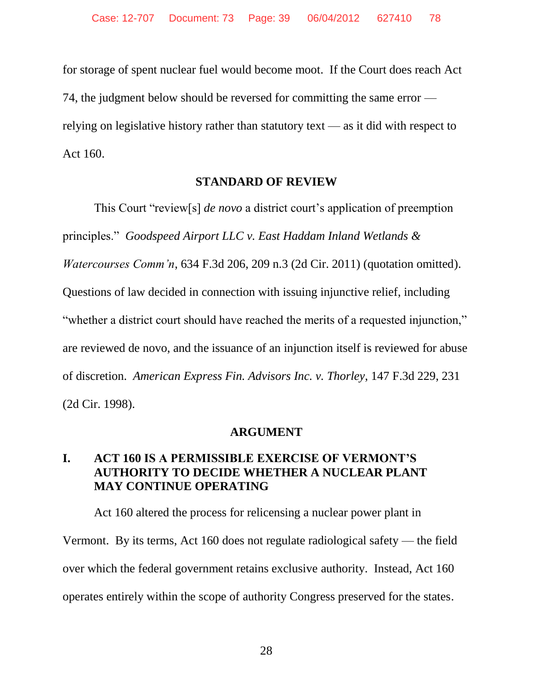for storage of spent nuclear fuel would become moot. If the Court does reach Act 74, the judgment below should be reversed for committing the same error relying on legislative history rather than statutory text — as it did with respect to Act 160.

#### **STANDARD OF REVIEW**

This Court "review[s] *de novo* a district court's application of preemption principles." *Goodspeed Airport LLC v. East Haddam Inland Wetlands & Watercourses Comm'n*, 634 F.3d 206, 209 n.3 (2d Cir. 2011) (quotation omitted). Questions of law decided in connection with issuing injunctive relief, including "whether a district court should have reached the merits of a requested injunction," are reviewed de novo, and the issuance of an injunction itself is reviewed for abuse of discretion. *American Express Fin. Advisors Inc. v. Thorley*, 147 F.3d 229, 231 (2d Cir. 1998).

#### **ARGUMENT**

# **I. ACT 160 IS A PERMISSIBLE EXERCISE OF VERMONT'S AUTHORITY TO DECIDE WHETHER A NUCLEAR PLANT MAY CONTINUE OPERATING**

Act 160 altered the process for relicensing a nuclear power plant in Vermont. By its terms, Act 160 does not regulate radiological safety — the field over which the federal government retains exclusive authority. Instead, Act 160 operates entirely within the scope of authority Congress preserved for the states.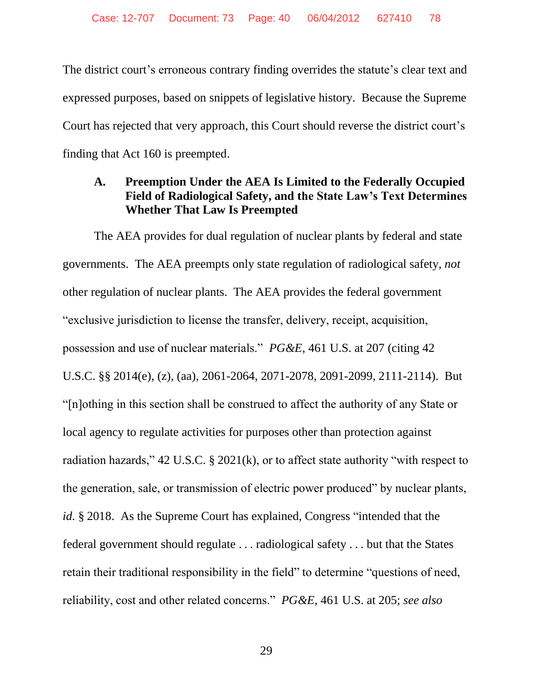The district court's erroneous contrary finding overrides the statute's clear text and expressed purposes, based on snippets of legislative history. Because the Supreme Court has rejected that very approach, this Court should reverse the district court's finding that Act 160 is preempted.

# **A. Preemption Under the AEA Is Limited to the Federally Occupied Field of Radiological Safety, and the State Law's Text Determines Whether That Law Is Preempted**

The AEA provides for dual regulation of nuclear plants by federal and state governments. The AEA preempts only state regulation of radiological safety, *not* other regulation of nuclear plants. The AEA provides the federal government "exclusive jurisdiction to license the transfer, delivery, receipt, acquisition, possession and use of nuclear materials." *PG&E*, 461 U.S. at 207 (citing 42 U.S.C. §§ 2014(e), (z), (aa), 2061-2064, 2071-2078, 2091-2099, 2111-2114). But "[n]othing in this section shall be construed to affect the authority of any State or local agency to regulate activities for purposes other than protection against radiation hazards," 42 U.S.C. § 2021(k), or to affect state authority "with respect to the generation, sale, or transmission of electric power produced" by nuclear plants, *id.* § 2018. As the Supreme Court has explained, Congress "intended that the federal government should regulate . . . radiological safety . . . but that the States retain their traditional responsibility in the field" to determine "questions of need, reliability, cost and other related concerns." *PG&E*, 461 U.S. at 205; *see also*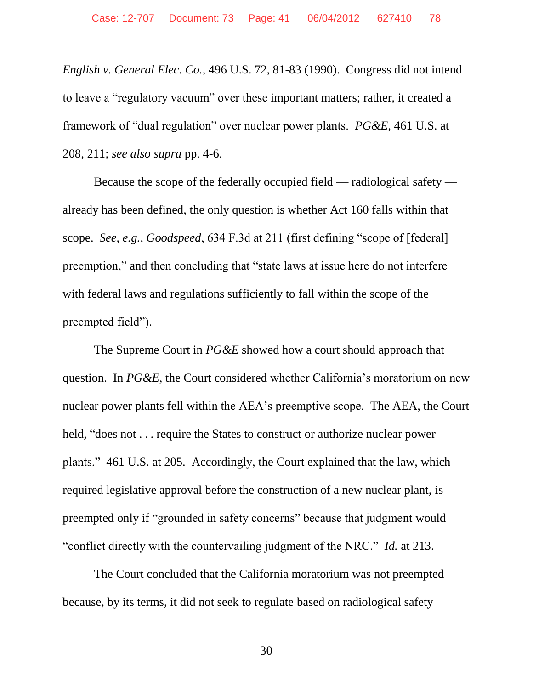*English v. General Elec. Co.*, 496 U.S. 72, 81-83 (1990). Congress did not intend to leave a "regulatory vacuum" over these important matters; rather, it created a framework of "dual regulation" over nuclear power plants. *PG&E*, 461 U.S. at 208, 211; *see also supra* pp. 4-6.

Because the scope of the federally occupied field — radiological safety already has been defined, the only question is whether Act 160 falls within that scope. *See*, *e.g.*, *Goodspeed*, 634 F.3d at 211 (first defining "scope of [federal] preemption," and then concluding that "state laws at issue here do not interfere with federal laws and regulations sufficiently to fall within the scope of the preempted field").

The Supreme Court in *PG&E* showed how a court should approach that question. In *PG&E*, the Court considered whether California's moratorium on new nuclear power plants fell within the AEA's preemptive scope. The AEA, the Court held, "does not . . . require the States to construct or authorize nuclear power plants." 461 U.S. at 205. Accordingly, the Court explained that the law, which required legislative approval before the construction of a new nuclear plant, is preempted only if "grounded in safety concerns" because that judgment would "conflict directly with the countervailing judgment of the NRC." *Id.* at 213.

The Court concluded that the California moratorium was not preempted because, by its terms, it did not seek to regulate based on radiological safety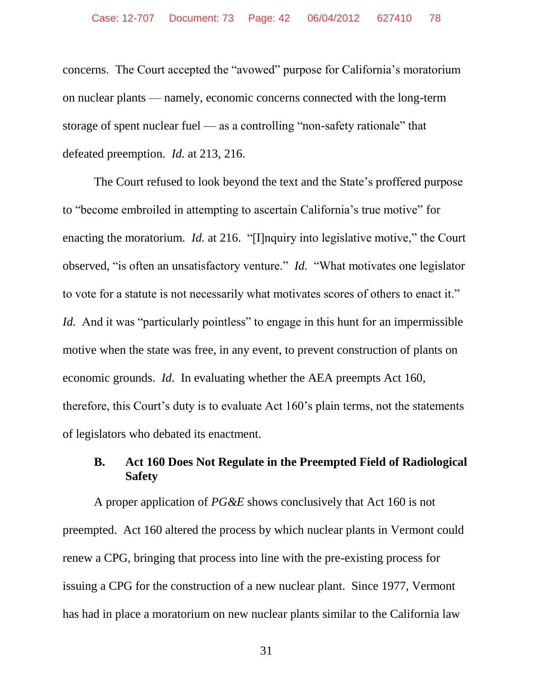concerns. The Court accepted the "avowed" purpose for California's moratorium on nuclear plants — namely, economic concerns connected with the long-term storage of spent nuclear fuel — as a controlling "non-safety rationale" that defeated preemption. *Id.* at 213, 216.

The Court refused to look beyond the text and the State's proffered purpose to "become embroiled in attempting to ascertain California's true motive" for enacting the moratorium. *Id.* at 216. "[I]nquiry into legislative motive," the Court observed, "is often an unsatisfactory venture." *Id.* "What motivates one legislator to vote for a statute is not necessarily what motivates scores of others to enact it." *Id.* And it was "particularly pointless" to engage in this hunt for an impermissible motive when the state was free, in any event, to prevent construction of plants on economic grounds. *Id*. In evaluating whether the AEA preempts Act 160, therefore, this Court's duty is to evaluate Act 160's plain terms, not the statements of legislators who debated its enactment.

## **B. Act 160 Does Not Regulate in the Preempted Field of Radiological Safety**

A proper application of *PG&E* shows conclusively that Act 160 is not preempted. Act 160 altered the process by which nuclear plants in Vermont could renew a CPG, bringing that process into line with the pre-existing process for issuing a CPG for the construction of a new nuclear plant. Since 1977, Vermont has had in place a moratorium on new nuclear plants similar to the California law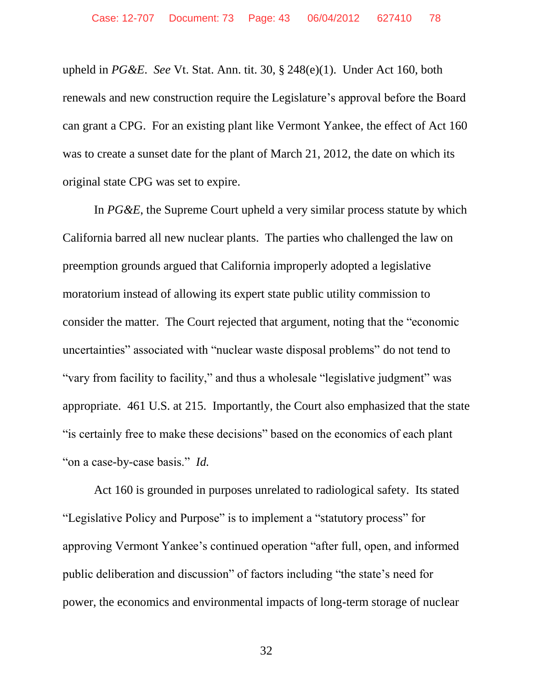upheld in *PG&E*. *See* Vt. Stat. Ann. tit. 30, § 248(e)(1). Under Act 160, both renewals and new construction require the Legislature's approval before the Board can grant a CPG. For an existing plant like Vermont Yankee, the effect of Act 160 was to create a sunset date for the plant of March 21, 2012, the date on which its original state CPG was set to expire.

In *PG&E*, the Supreme Court upheld a very similar process statute by which California barred all new nuclear plants. The parties who challenged the law on preemption grounds argued that California improperly adopted a legislative moratorium instead of allowing its expert state public utility commission to consider the matter. The Court rejected that argument, noting that the "economic uncertainties" associated with "nuclear waste disposal problems" do not tend to "vary from facility to facility," and thus a wholesale "legislative judgment" was appropriate. 461 U.S. at 215. Importantly, the Court also emphasized that the state "is certainly free to make these decisions" based on the economics of each plant "on a case-by-case basis." *Id.*

Act 160 is grounded in purposes unrelated to radiological safety. Its stated "Legislative Policy and Purpose" is to implement a "statutory process" for approving Vermont Yankee's continued operation "after full, open, and informed public deliberation and discussion" of factors including "the state's need for power, the economics and environmental impacts of long-term storage of nuclear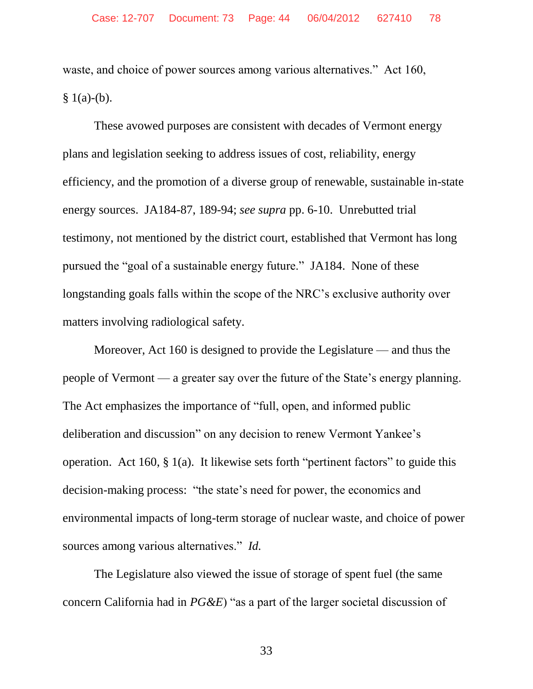waste, and choice of power sources among various alternatives." Act 160,  $§ 1(a)-(b).$ 

These avowed purposes are consistent with decades of Vermont energy plans and legislation seeking to address issues of cost, reliability, energy efficiency, and the promotion of a diverse group of renewable, sustainable in-state energy sources. JA184-87, 189-94; *see supra* pp. 6-10. Unrebutted trial testimony, not mentioned by the district court, established that Vermont has long pursued the "goal of a sustainable energy future." JA184. None of these longstanding goals falls within the scope of the NRC's exclusive authority over matters involving radiological safety.

Moreover, Act 160 is designed to provide the Legislature — and thus the people of Vermont — a greater say over the future of the State's energy planning. The Act emphasizes the importance of "full, open, and informed public deliberation and discussion" on any decision to renew Vermont Yankee's operation. Act 160, § 1(a). It likewise sets forth "pertinent factors" to guide this decision-making process: "the state's need for power, the economics and environmental impacts of long-term storage of nuclear waste, and choice of power sources among various alternatives." *Id.*

The Legislature also viewed the issue of storage of spent fuel (the same concern California had in *PG&E*) "as a part of the larger societal discussion of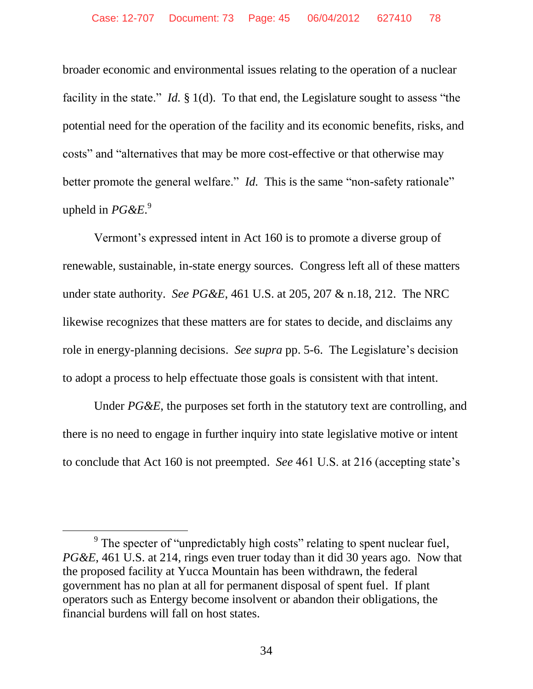broader economic and environmental issues relating to the operation of a nuclear facility in the state." *Id.* § 1(d). To that end, the Legislature sought to assess "the potential need for the operation of the facility and its economic benefits, risks, and costs" and "alternatives that may be more cost-effective or that otherwise may better promote the general welfare." *Id.* This is the same "non-safety rationale" upheld in *PG&E*. 9

Vermont's expressed intent in Act 160 is to promote a diverse group of renewable, sustainable, in-state energy sources. Congress left all of these matters under state authority. *See PG&E*, 461 U.S. at 205, 207 & n.18, 212. The NRC likewise recognizes that these matters are for states to decide, and disclaims any role in energy-planning decisions. *See supra* pp. 5-6. The Legislature's decision to adopt a process to help effectuate those goals is consistent with that intent.

Under *PG&E*, the purposes set forth in the statutory text are controlling, and there is no need to engage in further inquiry into state legislative motive or intent to conclude that Act 160 is not preempted. *See* 461 U.S. at 216 (accepting state's

 $\overline{a}$ 

<sup>&</sup>lt;sup>9</sup> The specter of "unpredictably high costs" relating to spent nuclear fuel, *PG&E*, 461 U.S. at 214, rings even truer today than it did 30 years ago. Now that the proposed facility at Yucca Mountain has been withdrawn, the federal government has no plan at all for permanent disposal of spent fuel. If plant operators such as Entergy become insolvent or abandon their obligations, the financial burdens will fall on host states.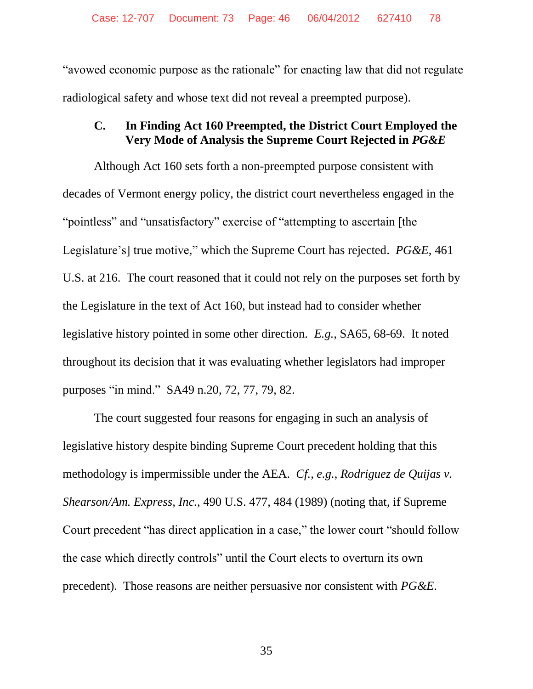"avowed economic purpose as the rationale" for enacting law that did not regulate radiological safety and whose text did not reveal a preempted purpose).

# **C. In Finding Act 160 Preempted, the District Court Employed the Very Mode of Analysis the Supreme Court Rejected in** *PG&E*

Although Act 160 sets forth a non-preempted purpose consistent with decades of Vermont energy policy, the district court nevertheless engaged in the "pointless" and "unsatisfactory" exercise of "attempting to ascertain [the Legislature's] true motive," which the Supreme Court has rejected. *PG&E*, 461 U.S. at 216. The court reasoned that it could not rely on the purposes set forth by the Legislature in the text of Act 160, but instead had to consider whether legislative history pointed in some other direction. *E.g.*, SA65, 68-69. It noted throughout its decision that it was evaluating whether legislators had improper purposes "in mind." SA49 n.20, 72, 77, 79, 82.

The court suggested four reasons for engaging in such an analysis of legislative history despite binding Supreme Court precedent holding that this methodology is impermissible under the AEA. *Cf.*, *e.g.*, *Rodriguez de Quijas v. Shearson/Am. Express, Inc.*, 490 U.S. 477, 484 (1989) (noting that, if Supreme Court precedent "has direct application in a case," the lower court "should follow the case which directly controls" until the Court elects to overturn its own precedent). Those reasons are neither persuasive nor consistent with *PG&E*.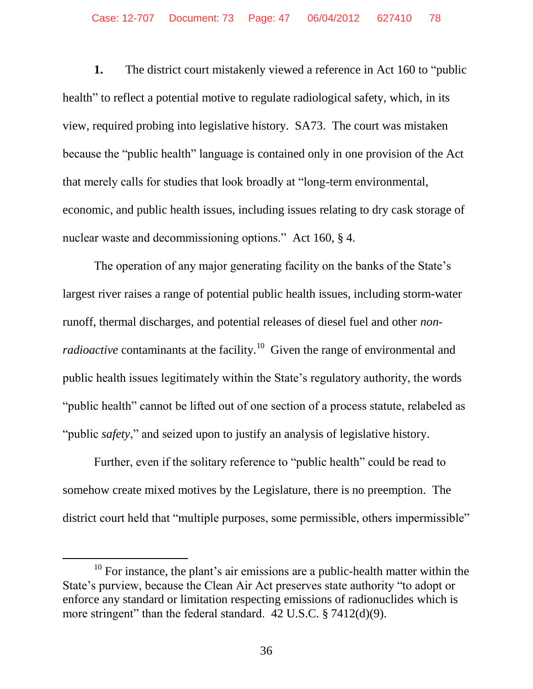**1.** The district court mistakenly viewed a reference in Act 160 to "public health" to reflect a potential motive to regulate radiological safety, which, in its view, required probing into legislative history. SA73. The court was mistaken because the "public health" language is contained only in one provision of the Act that merely calls for studies that look broadly at "long-term environmental, economic, and public health issues, including issues relating to dry cask storage of nuclear waste and decommissioning options." Act 160, § 4.

The operation of any major generating facility on the banks of the State's largest river raises a range of potential public health issues, including storm-water runoff, thermal discharges, and potential releases of diesel fuel and other *nonradioactive* contaminants at the facility.<sup>10</sup> Given the range of environmental and public health issues legitimately within the State's regulatory authority, the words "public health" cannot be lifted out of one section of a process statute, relabeled as "public *safety*," and seized upon to justify an analysis of legislative history.

Further, even if the solitary reference to "public health" could be read to somehow create mixed motives by the Legislature, there is no preemption. The district court held that "multiple purposes, some permissible, others impermissible"

 $10$  For instance, the plant's air emissions are a public-health matter within the State's purview, because the Clean Air Act preserves state authority "to adopt or enforce any standard or limitation respecting emissions of radionuclides which is more stringent" than the federal standard. 42 U.S.C. § 7412(d)(9).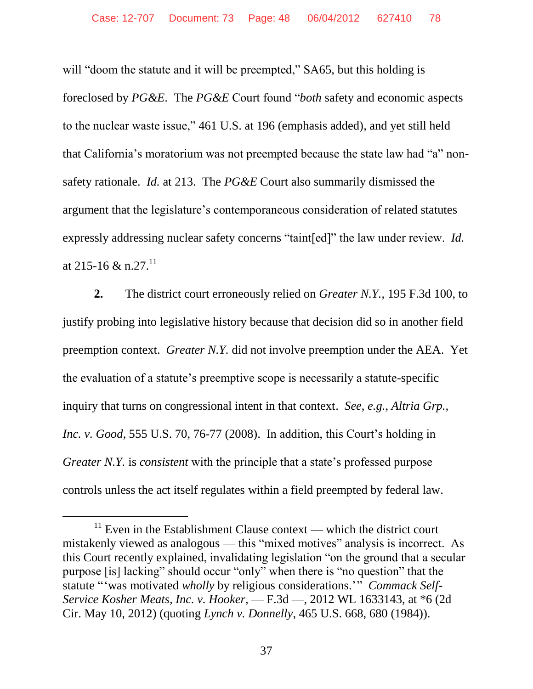will "doom the statute and it will be preempted," SA65, but this holding is foreclosed by *PG&E*. The *PG&E* Court found "*both* safety and economic aspects to the nuclear waste issue," 461 U.S. at 196 (emphasis added), and yet still held that California's moratorium was not preempted because the state law had "a" nonsafety rationale. *Id.* at 213. The *PG&E* Court also summarily dismissed the argument that the legislature's contemporaneous consideration of related statutes expressly addressing nuclear safety concerns "taint[ed]" the law under review. *Id.*  at 215-16 & n.27.<sup>11</sup>

**2.** The district court erroneously relied on *Greater N.Y.*, 195 F.3d 100, to justify probing into legislative history because that decision did so in another field preemption context. *Greater N.Y.* did not involve preemption under the AEA. Yet the evaluation of a statute's preemptive scope is necessarily a statute-specific inquiry that turns on congressional intent in that context. *See*, *e.g.*, *Altria Grp., Inc. v. Good*, 555 U.S. 70, 76-77 (2008). In addition, this Court's holding in *Greater N.Y.* is *consistent* with the principle that a state's professed purpose controls unless the act itself regulates within a field preempted by federal law.

 $11$  Even in the Establishment Clause context — which the district court mistakenly viewed as analogous — this "mixed motives" analysis is incorrect. As this Court recently explained, invalidating legislation "on the ground that a secular purpose [is] lacking" should occur "only" when there is "no question" that the statute "'was motivated *wholly* by religious considerations.'" *Commack Self-Service Kosher Meats, Inc. v. Hooker*, — F.3d —, 2012 WL 1633143, at \*6 (2d Cir. May 10, 2012) (quoting *Lynch v. Donnelly*, 465 U.S. 668, 680 (1984)).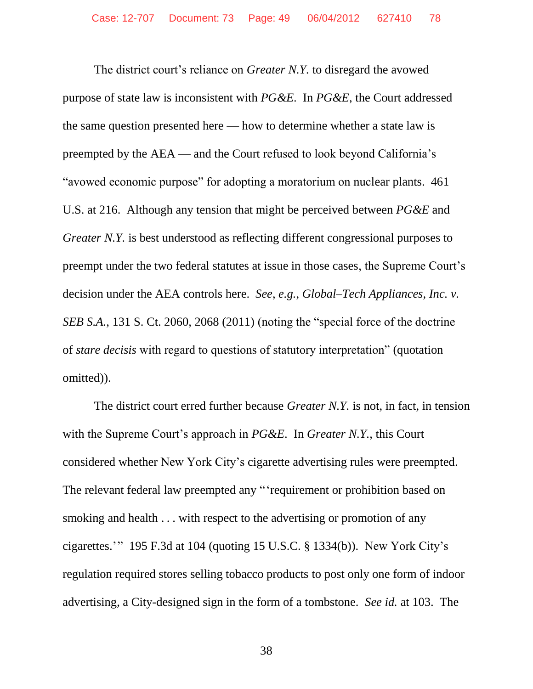The district court's reliance on *Greater N.Y.* to disregard the avowed purpose of state law is inconsistent with *PG&E*. In *PG&E*, the Court addressed the same question presented here — how to determine whether a state law is preempted by the AEA — and the Court refused to look beyond California's "avowed economic purpose" for adopting a moratorium on nuclear plants. 461 U.S. at 216. Although any tension that might be perceived between *PG&E* and *Greater N.Y.* is best understood as reflecting different congressional purposes to preempt under the two federal statutes at issue in those cases, the Supreme Court's decision under the AEA controls here. *See*, *e.g.*, *Global–Tech Appliances, Inc. v. SEB S.A.*, 131 S. Ct. 2060, 2068 (2011) (noting the "special force of the doctrine of *stare decisis* with regard to questions of statutory interpretation" (quotation omitted)).

The district court erred further because *Greater N.Y.* is not, in fact, in tension with the Supreme Court's approach in *PG&E*. In *Greater N.Y.*, this Court considered whether New York City's cigarette advertising rules were preempted. The relevant federal law preempted any "'requirement or prohibition based on smoking and health . . . with respect to the advertising or promotion of any cigarettes.'" 195 F.3d at 104 (quoting 15 U.S.C. § 1334(b)). New York City's regulation required stores selling tobacco products to post only one form of indoor advertising, a City-designed sign in the form of a tombstone. *See id.* at 103. The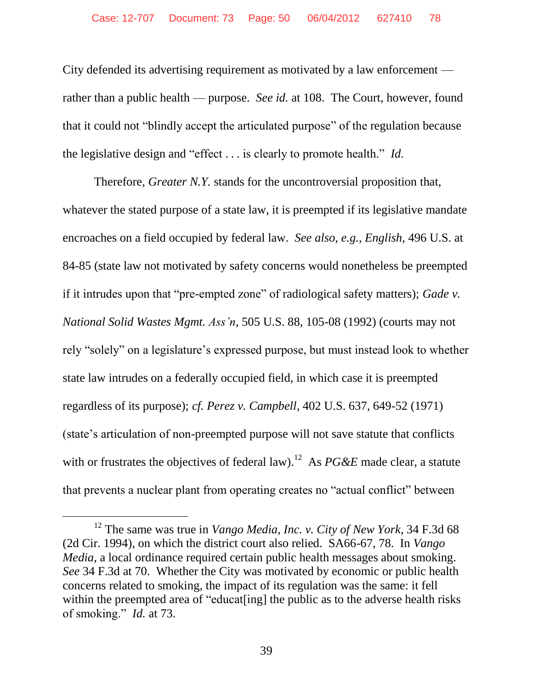City defended its advertising requirement as motivated by a law enforcement rather than a public health — purpose. *See id.* at 108. The Court, however, found that it could not "blindly accept the articulated purpose" of the regulation because the legislative design and "effect . . . is clearly to promote health." *Id.*

Therefore, *Greater N.Y.* stands for the uncontroversial proposition that, whatever the stated purpose of a state law, it is preempted if its legislative mandate encroaches on a field occupied by federal law. *See also*, *e.g.*, *English*, 496 U.S. at 84-85 (state law not motivated by safety concerns would nonetheless be preempted if it intrudes upon that "pre-empted zone" of radiological safety matters); *Gade v. National Solid Wastes Mgmt. Ass'n*, 505 U.S. 88, 105-08 (1992) (courts may not rely "solely" on a legislature's expressed purpose, but must instead look to whether state law intrudes on a federally occupied field, in which case it is preempted regardless of its purpose); *cf. Perez v. Campbell*, 402 U.S. 637, 649-52 (1971) (state's articulation of non-preempted purpose will not save statute that conflicts with or frustrates the objectives of federal law).<sup>12</sup> As  $PG\&E$  made clear, a statute that prevents a nuclear plant from operating creates no "actual conflict" between

<sup>12</sup> The same was true in *Vango Media, Inc. v. City of New York*, 34 F.3d 68 (2d Cir. 1994), on which the district court also relied. SA66-67, 78. In *Vango Media*, a local ordinance required certain public health messages about smoking. *See* 34 F.3d at 70. Whether the City was motivated by economic or public health concerns related to smoking, the impact of its regulation was the same: it fell within the preempted area of "educat<sup>[ing]</sup> the public as to the adverse health risks of smoking." *Id.* at 73.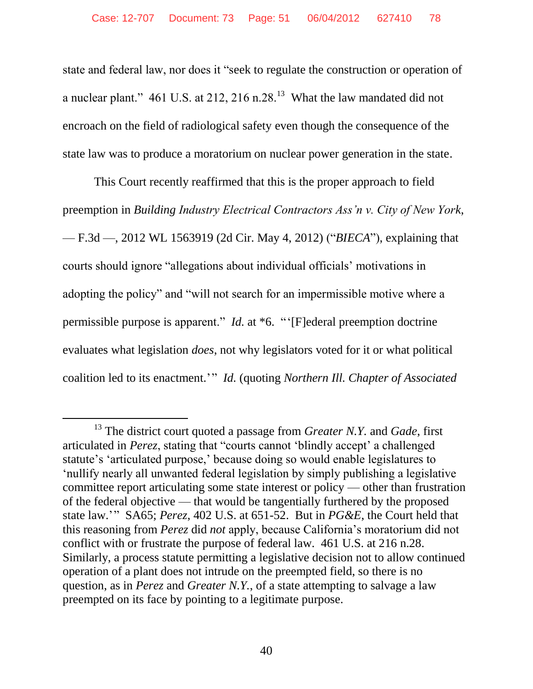state and federal law, nor does it "seek to regulate the construction or operation of a nuclear plant." 461 U.S. at 212, 216 n.28.<sup>13</sup> What the law mandated did not encroach on the field of radiological safety even though the consequence of the state law was to produce a moratorium on nuclear power generation in the state.

This Court recently reaffirmed that this is the proper approach to field preemption in *Building Industry Electrical Contractors Ass'n v. City of New York*, — F.3d —, 2012 WL 1563919 (2d Cir. May 4, 2012) ("*BIECA*"), explaining that courts should ignore "allegations about individual officials' motivations in adopting the policy" and "will not search for an impermissible motive where a permissible purpose is apparent." *Id.* at \*6. "'[F]ederal preemption doctrine evaluates what legislation *does*, not why legislators voted for it or what political coalition led to its enactment.'" *Id.* (quoting *Northern Ill. Chapter of Associated* 

 $\overline{a}$ 

<sup>13</sup> The district court quoted a passage from *Greater N.Y.* and *Gade*, first articulated in *Perez*, stating that "courts cannot 'blindly accept' a challenged statute's 'articulated purpose,' because doing so would enable legislatures to 'nullify nearly all unwanted federal legislation by simply publishing a legislative committee report articulating some state interest or policy — other than frustration of the federal objective — that would be tangentially furthered by the proposed state law.'" SA65; *Perez*, 402 U.S. at 651-52. But in *PG&E*, the Court held that this reasoning from *Perez* did *not* apply, because California's moratorium did not conflict with or frustrate the purpose of federal law. 461 U.S. at 216 n.28. Similarly, a process statute permitting a legislative decision not to allow continued operation of a plant does not intrude on the preempted field, so there is no question, as in *Perez* and *Greater N.Y.*, of a state attempting to salvage a law preempted on its face by pointing to a legitimate purpose.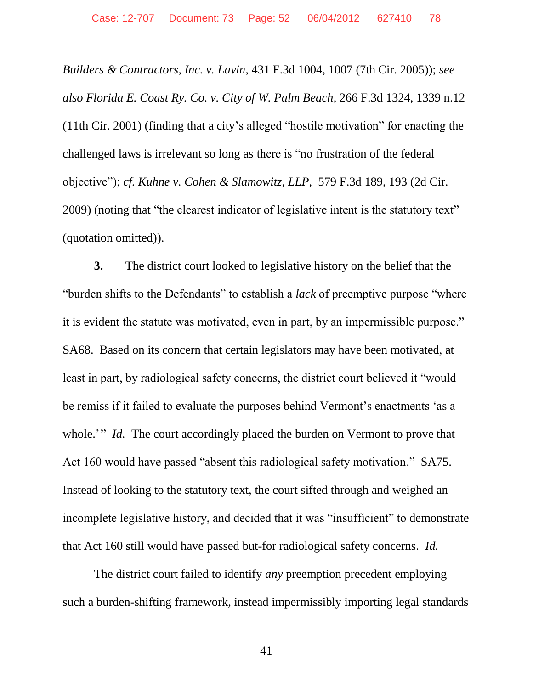*Builders & Contractors, Inc. v. Lavin*, 431 F.3d 1004, 1007 (7th Cir. 2005)); *see also Florida E. Coast Ry. Co. v. City of W. Palm Beach*, 266 F.3d 1324, 1339 n.12 (11th Cir. 2001) (finding that a city's alleged "hostile motivation" for enacting the challenged laws is irrelevant so long as there is "no frustration of the federal objective"); *cf. Kuhne v. Cohen & Slamowitz, LLP*, 579 F.3d 189, 193 (2d Cir. 2009) (noting that "the clearest indicator of legislative intent is the statutory text" (quotation omitted)).

**3.** The district court looked to legislative history on the belief that the "burden shifts to the Defendants" to establish a *lack* of preemptive purpose "where it is evident the statute was motivated, even in part, by an impermissible purpose." SA68. Based on its concern that certain legislators may have been motivated, at least in part, by radiological safety concerns, the district court believed it "would be remiss if it failed to evaluate the purposes behind Vermont's enactments 'as a whole.'" *Id.* The court accordingly placed the burden on Vermont to prove that Act 160 would have passed "absent this radiological safety motivation." SA75. Instead of looking to the statutory text, the court sifted through and weighed an incomplete legislative history, and decided that it was "insufficient" to demonstrate that Act 160 still would have passed but-for radiological safety concerns. *Id.*

The district court failed to identify *any* preemption precedent employing such a burden-shifting framework, instead impermissibly importing legal standards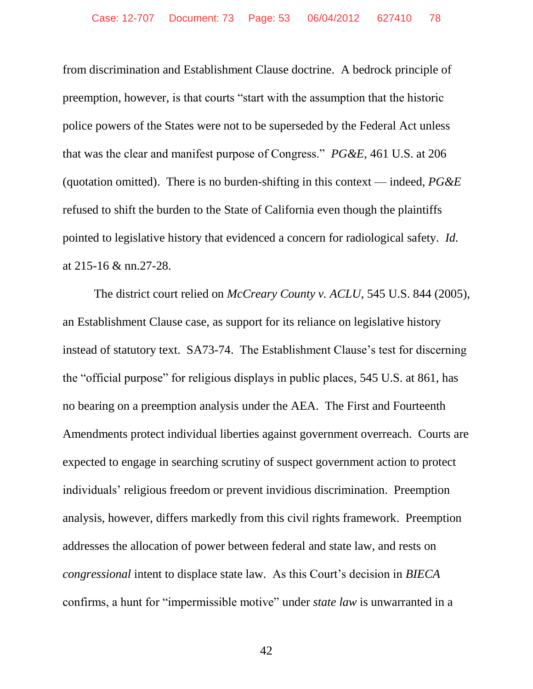from discrimination and Establishment Clause doctrine. A bedrock principle of preemption, however, is that courts "start with the assumption that the historic police powers of the States were not to be superseded by the Federal Act unless that was the clear and manifest purpose of Congress." *PG&E*, 461 U.S. at 206 (quotation omitted). There is no burden-shifting in this context — indeed, *PG&E*  refused to shift the burden to the State of California even though the plaintiffs pointed to legislative history that evidenced a concern for radiological safety. *Id.*  at 215-16 & nn.27-28.

The district court relied on *McCreary County v. ACLU*, 545 U.S. 844 (2005), an Establishment Clause case, as support for its reliance on legislative history instead of statutory text. SA73-74. The Establishment Clause's test for discerning the "official purpose" for religious displays in public places, 545 U.S. at 861, has no bearing on a preemption analysis under the AEA. The First and Fourteenth Amendments protect individual liberties against government overreach. Courts are expected to engage in searching scrutiny of suspect government action to protect individuals' religious freedom or prevent invidious discrimination. Preemption analysis, however, differs markedly from this civil rights framework. Preemption addresses the allocation of power between federal and state law, and rests on *congressional* intent to displace state law. As this Court's decision in *BIECA*  confirms, a hunt for "impermissible motive" under *state law* is unwarranted in a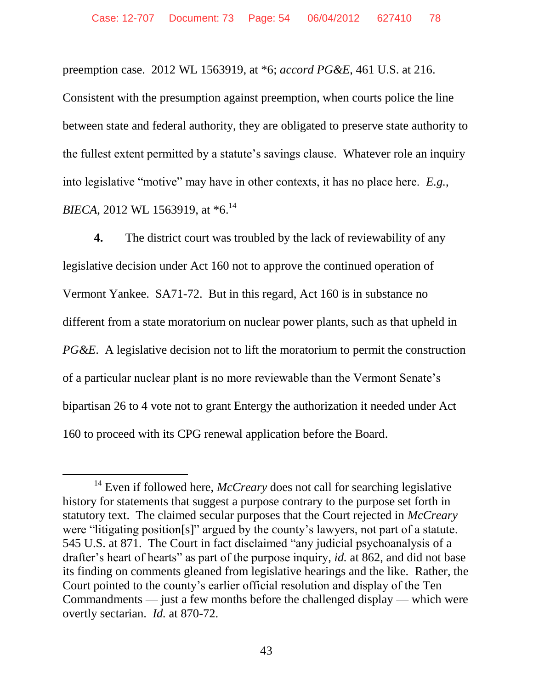preemption case. 2012 WL 1563919, at \*6; *accord PG&E*, 461 U.S. at 216.

Consistent with the presumption against preemption, when courts police the line between state and federal authority, they are obligated to preserve state authority to the fullest extent permitted by a statute's savings clause. Whatever role an inquiry into legislative "motive" may have in other contexts, it has no place here. *E.g.*, *BIECA*, 2012 WL 1563919, at  $*6$ <sup>14</sup>

**4.** The district court was troubled by the lack of reviewability of any legislative decision under Act 160 not to approve the continued operation of Vermont Yankee. SA71-72. But in this regard, Act 160 is in substance no different from a state moratorium on nuclear power plants, such as that upheld in *PG&E*. A legislative decision not to lift the moratorium to permit the construction of a particular nuclear plant is no more reviewable than the Vermont Senate's bipartisan 26 to 4 vote not to grant Entergy the authorization it needed under Act 160 to proceed with its CPG renewal application before the Board.

 $\overline{a}$ 

<sup>&</sup>lt;sup>14</sup> Even if followed here, *McCreary* does not call for searching legislative history for statements that suggest a purpose contrary to the purpose set forth in statutory text. The claimed secular purposes that the Court rejected in *McCreary*  were "litigating position[s]" argued by the county's lawyers, not part of a statute. 545 U.S. at 871. The Court in fact disclaimed "any judicial psychoanalysis of a drafter's heart of hearts" as part of the purpose inquiry, *id.* at 862, and did not base its finding on comments gleaned from legislative hearings and the like. Rather, the Court pointed to the county's earlier official resolution and display of the Ten Commandments — just a few months before the challenged display — which were overtly sectarian. *Id.* at 870-72.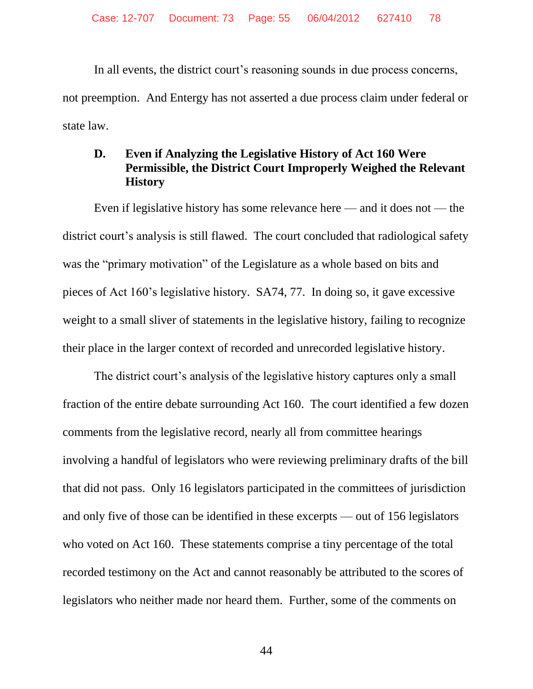In all events, the district court's reasoning sounds in due process concerns, not preemption. And Entergy has not asserted a due process claim under federal or state law.

#### **D. Even if Analyzing the Legislative History of Act 160 Were Permissible, the District Court Improperly Weighed the Relevant History**

Even if legislative history has some relevance here — and it does not — the district court's analysis is still flawed. The court concluded that radiological safety was the "primary motivation" of the Legislature as a whole based on bits and pieces of Act 160's legislative history. SA74, 77. In doing so, it gave excessive weight to a small sliver of statements in the legislative history, failing to recognize their place in the larger context of recorded and unrecorded legislative history.

The district court's analysis of the legislative history captures only a small fraction of the entire debate surrounding Act 160. The court identified a few dozen comments from the legislative record, nearly all from committee hearings involving a handful of legislators who were reviewing preliminary drafts of the bill that did not pass. Only 16 legislators participated in the committees of jurisdiction and only five of those can be identified in these excerpts — out of 156 legislators who voted on Act 160. These statements comprise a tiny percentage of the total recorded testimony on the Act and cannot reasonably be attributed to the scores of legislators who neither made nor heard them. Further, some of the comments on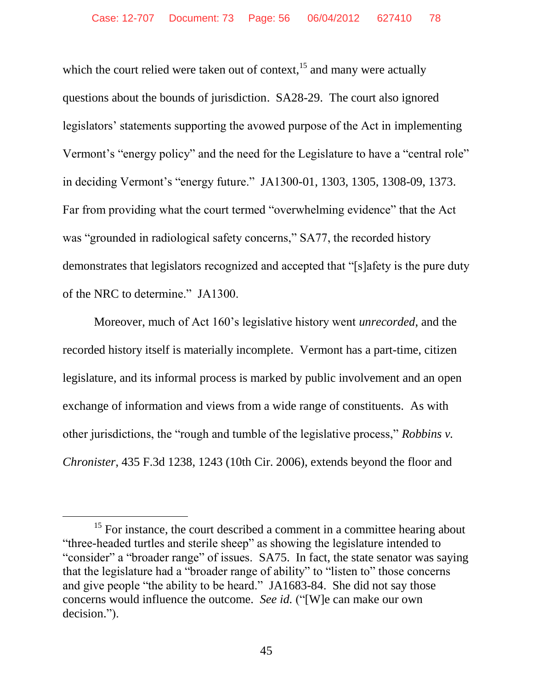which the court relied were taken out of context, $^{15}$  and many were actually questions about the bounds of jurisdiction. SA28-29. The court also ignored legislators' statements supporting the avowed purpose of the Act in implementing Vermont's "energy policy" and the need for the Legislature to have a "central role" in deciding Vermont's "energy future." JA1300-01, 1303, 1305, 1308-09, 1373. Far from providing what the court termed "overwhelming evidence" that the Act was "grounded in radiological safety concerns," SA77, the recorded history demonstrates that legislators recognized and accepted that "[s]afety is the pure duty of the NRC to determine." JA1300.

Moreover, much of Act 160's legislative history went *unrecorded*, and the recorded history itself is materially incomplete. Vermont has a part-time, citizen legislature, and its informal process is marked by public involvement and an open exchange of information and views from a wide range of constituents. As with other jurisdictions, the "rough and tumble of the legislative process," *Robbins v. Chronister*, 435 F.3d 1238, 1243 (10th Cir. 2006), extends beyond the floor and

 $15$  For instance, the court described a comment in a committee hearing about "three-headed turtles and sterile sheep" as showing the legislature intended to "consider" a "broader range" of issues. SA75. In fact, the state senator was saying that the legislature had a "broader range of ability" to "listen to" those concerns and give people "the ability to be heard." JA1683-84. She did not say those concerns would influence the outcome. *See id.* ("[W]e can make our own decision.").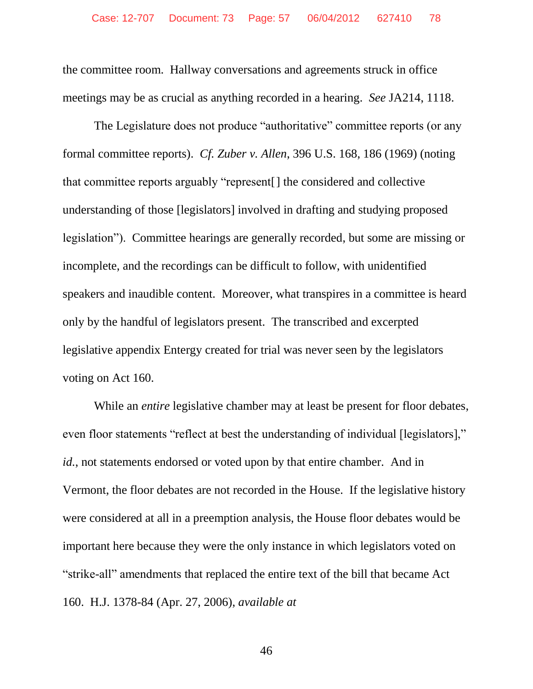the committee room. Hallway conversations and agreements struck in office meetings may be as crucial as anything recorded in a hearing. *See* JA214, 1118.

The Legislature does not produce "authoritative" committee reports (or any formal committee reports). *Cf. Zuber v. Allen*, 396 U.S. 168, 186 (1969) (noting that committee reports arguably "represent[] the considered and collective understanding of those [legislators] involved in drafting and studying proposed legislation"). Committee hearings are generally recorded, but some are missing or incomplete, and the recordings can be difficult to follow, with unidentified speakers and inaudible content. Moreover, what transpires in a committee is heard only by the handful of legislators present. The transcribed and excerpted legislative appendix Entergy created for trial was never seen by the legislators voting on Act 160.

While an *entire* legislative chamber may at least be present for floor debates, even floor statements "reflect at best the understanding of individual [legislators]," *id.*, not statements endorsed or voted upon by that entire chamber. And in Vermont, the floor debates are not recorded in the House. If the legislative history were considered at all in a preemption analysis, the House floor debates would be important here because they were the only instance in which legislators voted on "strike-all" amendments that replaced the entire text of the bill that became Act 160. H.J. 1378-84 (Apr. 27, 2006), *available at*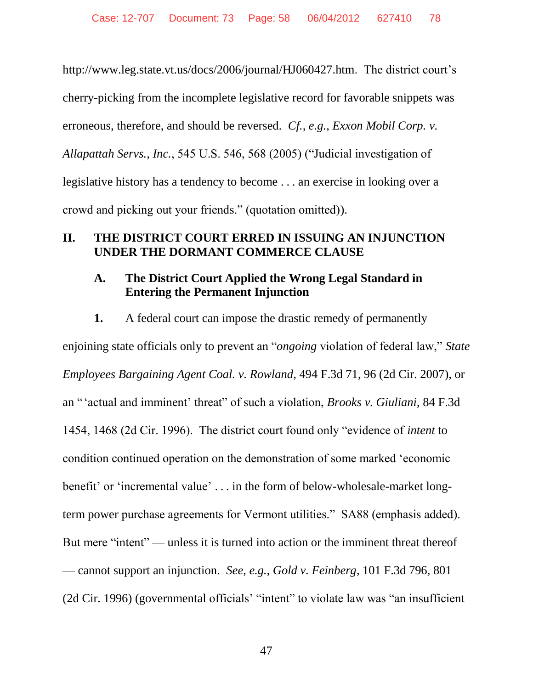http://www.leg.state.vt.us/docs/2006/journal/HJ060427.htm. The district court's cherry-picking from the incomplete legislative record for favorable snippets was erroneous, therefore, and should be reversed. *Cf.*, *e.g.*, *Exxon Mobil Corp. v. Allapattah Servs., Inc.*, 545 U.S. 546, 568 (2005) ("Judicial investigation of legislative history has a tendency to become . . . an exercise in looking over a crowd and picking out your friends." (quotation omitted)).

## **II. THE DISTRICT COURT ERRED IN ISSUING AN INJUNCTION UNDER THE DORMANT COMMERCE CLAUSE**

#### **A. The District Court Applied the Wrong Legal Standard in Entering the Permanent Injunction**

**1.** A federal court can impose the drastic remedy of permanently enjoining state officials only to prevent an "*ongoing* violation of federal law," *State Employees Bargaining Agent Coal. v. Rowland*, 494 F.3d 71, 96 (2d Cir. 2007), or an "'actual and imminent' threat" of such a violation, *Brooks v. Giuliani*, 84 F.3d 1454, 1468 (2d Cir. 1996). The district court found only "evidence of *intent* to condition continued operation on the demonstration of some marked 'economic benefit' or 'incremental value' . . . in the form of below-wholesale-market longterm power purchase agreements for Vermont utilities." SA88 (emphasis added). But mere "intent" — unless it is turned into action or the imminent threat thereof — cannot support an injunction. *See*, *e.g.*, *Gold v. Feinberg*, 101 F.3d 796, 801 (2d Cir. 1996) (governmental officials' "intent" to violate law was "an insufficient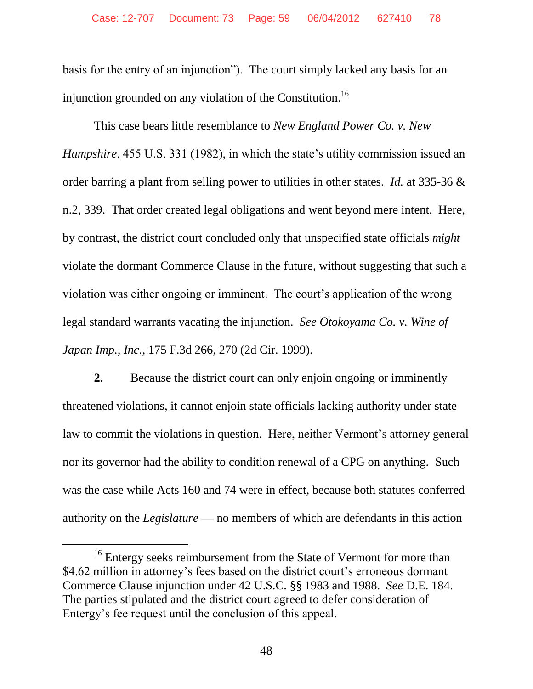basis for the entry of an injunction"). The court simply lacked any basis for an injunction grounded on any violation of the Constitution.<sup>16</sup>

This case bears little resemblance to *New England Power Co. v. New Hampshire*, 455 U.S. 331 (1982), in which the state's utility commission issued an order barring a plant from selling power to utilities in other states. *Id.* at 335-36 & n.2, 339. That order created legal obligations and went beyond mere intent. Here, by contrast, the district court concluded only that unspecified state officials *might*  violate the dormant Commerce Clause in the future, without suggesting that such a violation was either ongoing or imminent. The court's application of the wrong legal standard warrants vacating the injunction. *See Otokoyama Co. v. Wine of Japan Imp., Inc.*, 175 F.3d 266, 270 (2d Cir. 1999).

**2.** Because the district court can only enjoin ongoing or imminently threatened violations, it cannot enjoin state officials lacking authority under state law to commit the violations in question. Here, neither Vermont's attorney general nor its governor had the ability to condition renewal of a CPG on anything. Such was the case while Acts 160 and 74 were in effect, because both statutes conferred authority on the *Legislature* — no members of which are defendants in this action

<sup>&</sup>lt;sup>16</sup> Entergy seeks reimbursement from the State of Vermont for more than \$4.62 million in attorney's fees based on the district court's erroneous dormant Commerce Clause injunction under 42 U.S.C. §§ 1983 and 1988. *See* D.E. 184. The parties stipulated and the district court agreed to defer consideration of Entergy's fee request until the conclusion of this appeal.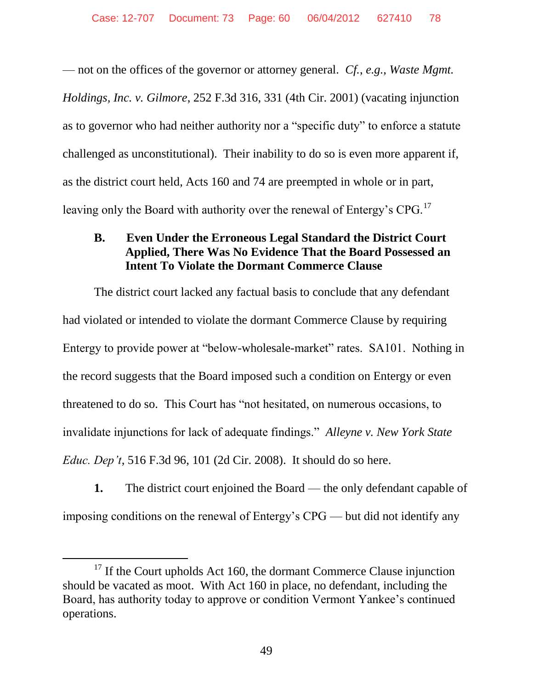— not on the offices of the governor or attorney general. *Cf.*, *e.g.*, *Waste Mgmt. Holdings, Inc. v. Gilmore*, 252 F.3d 316, 331 (4th Cir. 2001) (vacating injunction as to governor who had neither authority nor a "specific duty" to enforce a statute challenged as unconstitutional). Their inability to do so is even more apparent if, as the district court held, Acts 160 and 74 are preempted in whole or in part, leaving only the Board with authority over the renewal of Entergy's CPG.<sup>17</sup>

# **B. Even Under the Erroneous Legal Standard the District Court Applied, There Was No Evidence That the Board Possessed an Intent To Violate the Dormant Commerce Clause**

The district court lacked any factual basis to conclude that any defendant had violated or intended to violate the dormant Commerce Clause by requiring Entergy to provide power at "below-wholesale-market" rates. SA101. Nothing in the record suggests that the Board imposed such a condition on Entergy or even threatened to do so. This Court has "not hesitated, on numerous occasions, to invalidate injunctions for lack of adequate findings." *Alleyne v. New York State Educ. Dep't*, 516 F.3d 96, 101 (2d Cir. 2008). It should do so here.

**1.** The district court enjoined the Board — the only defendant capable of imposing conditions on the renewal of Entergy's CPG — but did not identify any

 $17$  If the Court upholds Act 160, the dormant Commerce Clause injunction should be vacated as moot. With Act 160 in place, no defendant, including the Board, has authority today to approve or condition Vermont Yankee's continued operations.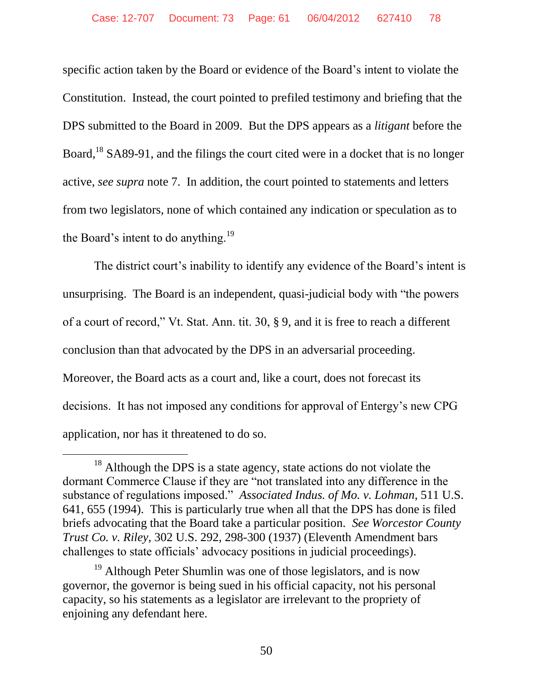specific action taken by the Board or evidence of the Board's intent to violate the Constitution. Instead, the court pointed to prefiled testimony and briefing that the DPS submitted to the Board in 2009. But the DPS appears as a *litigant* before the Board,<sup>18</sup> SA89-91, and the filings the court cited were in a docket that is no longer active, *see supra* note 7. In addition, the court pointed to statements and letters from two legislators, none of which contained any indication or speculation as to the Board's intent to do anything.<sup>19</sup>

The district court's inability to identify any evidence of the Board's intent is unsurprising. The Board is an independent, quasi-judicial body with "the powers of a court of record," Vt. Stat. Ann. tit. 30, § 9, and it is free to reach a different conclusion than that advocated by the DPS in an adversarial proceeding. Moreover, the Board acts as a court and, like a court, does not forecast its decisions. It has not imposed any conditions for approval of Entergy's new CPG application, nor has it threatened to do so.

 $\overline{a}$ 

 $18$  Although the DPS is a state agency, state actions do not violate the dormant Commerce Clause if they are "not translated into any difference in the substance of regulations imposed." *Associated Indus. of Mo. v. Lohman*, 511 U.S. 641, 655 (1994). This is particularly true when all that the DPS has done is filed briefs advocating that the Board take a particular position. *See Worcestor County Trust Co. v. Riley*, 302 U.S. 292, 298-300 (1937) (Eleventh Amendment bars challenges to state officials' advocacy positions in judicial proceedings).

<sup>&</sup>lt;sup>19</sup> Although Peter Shumlin was one of those legislators, and is now governor, the governor is being sued in his official capacity, not his personal capacity, so his statements as a legislator are irrelevant to the propriety of enjoining any defendant here.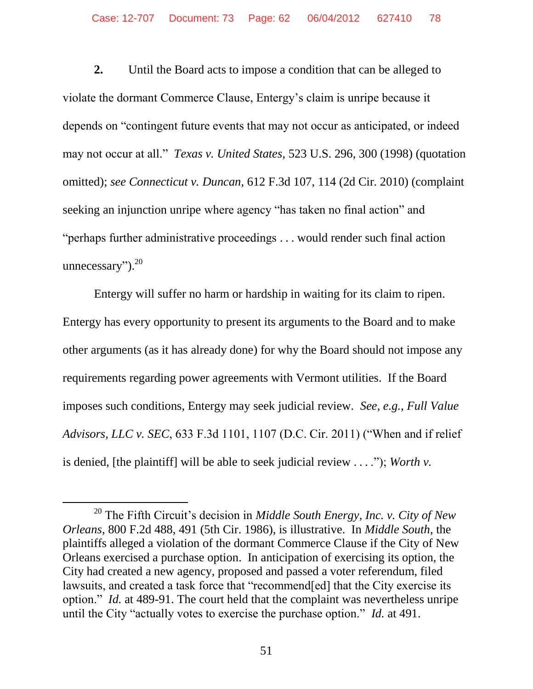**2.** Until the Board acts to impose a condition that can be alleged to violate the dormant Commerce Clause, Entergy's claim is unripe because it depends on "contingent future events that may not occur as anticipated, or indeed may not occur at all." *Texas v. United States*, 523 U.S. 296, 300 (1998) (quotation omitted); *see Connecticut v. Duncan*, 612 F.3d 107, 114 (2d Cir. 2010) (complaint seeking an injunction unripe where agency "has taken no final action" and "perhaps further administrative proceedings . . . would render such final action unnecessary"). $20$ 

Entergy will suffer no harm or hardship in waiting for its claim to ripen. Entergy has every opportunity to present its arguments to the Board and to make other arguments (as it has already done) for why the Board should not impose any requirements regarding power agreements with Vermont utilities. If the Board imposes such conditions, Entergy may seek judicial review. *See, e.g.*, *Full Value Advisors, LLC v. SEC*, 633 F.3d 1101, 1107 (D.C. Cir. 2011) ("When and if relief is denied, [the plaintiff] will be able to seek judicial review ... ."); *Worth v.* 

<sup>20</sup> The Fifth Circuit's decision in *Middle South Energy, Inc. v. City of New Orleans*, 800 F.2d 488, 491 (5th Cir. 1986), is illustrative. In *Middle South*, the plaintiffs alleged a violation of the dormant Commerce Clause if the City of New Orleans exercised a purchase option. In anticipation of exercising its option, the City had created a new agency, proposed and passed a voter referendum, filed lawsuits, and created a task force that "recommend[ed] that the City exercise its option." *Id.* at 489-91. The court held that the complaint was nevertheless unripe until the City "actually votes to exercise the purchase option." *Id.* at 491.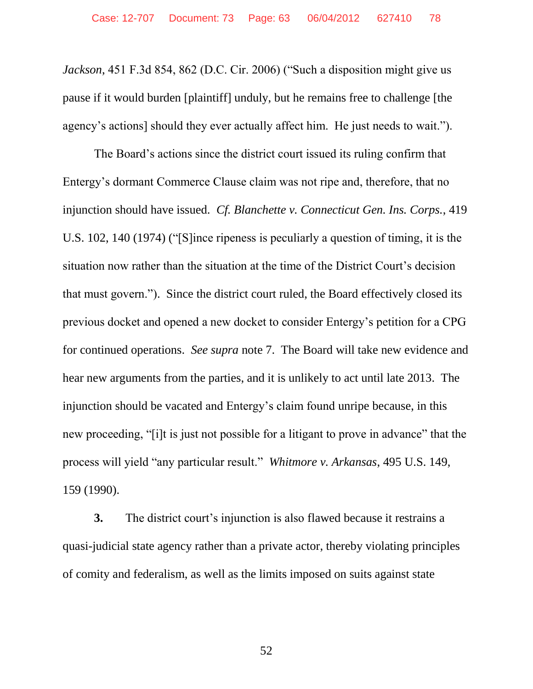*Jackson*, 451 F.3d 854, 862 (D.C. Cir. 2006) ("Such a disposition might give us pause if it would burden [plaintiff] unduly, but he remains free to challenge [the agency's actions] should they ever actually affect him. He just needs to wait.").

The Board's actions since the district court issued its ruling confirm that Entergy's dormant Commerce Clause claim was not ripe and, therefore, that no injunction should have issued. *Cf. Blanchette v. Connecticut Gen. Ins. Corps.*, 419 U.S. 102, 140 (1974) ("[S]ince ripeness is peculiarly a question of timing, it is the situation now rather than the situation at the time of the District Court's decision that must govern."). Since the district court ruled, the Board effectively closed its previous docket and opened a new docket to consider Entergy's petition for a CPG for continued operations. *See supra* note 7. The Board will take new evidence and hear new arguments from the parties, and it is unlikely to act until late 2013. The injunction should be vacated and Entergy's claim found unripe because, in this new proceeding, "[i]t is just not possible for a litigant to prove in advance" that the process will yield "any particular result." *Whitmore v. Arkansas*, 495 U.S. 149, 159 (1990).

**3.** The district court's injunction is also flawed because it restrains a quasi-judicial state agency rather than a private actor, thereby violating principles of comity and federalism, as well as the limits imposed on suits against state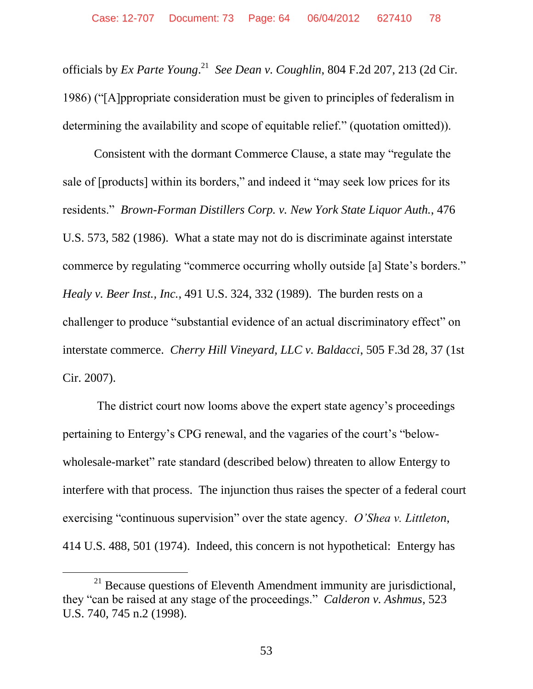officials by *Ex Parte Young*. 21 *See Dean v. Coughlin*, 804 F.2d 207, 213 (2d Cir. 1986) ("[A]ppropriate consideration must be given to principles of federalism in determining the availability and scope of equitable relief." (quotation omitted)).

Consistent with the dormant Commerce Clause, a state may "regulate the sale of [products] within its borders," and indeed it "may seek low prices for its residents." *Brown-Forman Distillers Corp. v. New York State Liquor Auth.*, 476 U.S. 573, 582 (1986). What a state may not do is discriminate against interstate commerce by regulating "commerce occurring wholly outside [a] State's borders." *Healy v. Beer Inst., Inc.*, 491 U.S. 324, 332 (1989). The burden rests on a challenger to produce "substantial evidence of an actual discriminatory effect" on interstate commerce. *Cherry Hill Vineyard, LLC v. Baldacci*, 505 F.3d 28, 37 (1st Cir. 2007).

The district court now looms above the expert state agency's proceedings pertaining to Entergy's CPG renewal, and the vagaries of the court's "belowwholesale-market" rate standard (described below) threaten to allow Entergy to interfere with that process. The injunction thus raises the specter of a federal court exercising "continuous supervision" over the state agency. *O'Shea v. Littleton*, 414 U.S. 488, 501 (1974). Indeed, this concern is not hypothetical: Entergy has

 $21$  Because questions of Eleventh Amendment immunity are jurisdictional, they "can be raised at any stage of the proceedings." *Calderon v. Ashmus*, 523 U.S. 740, 745 n.2 (1998).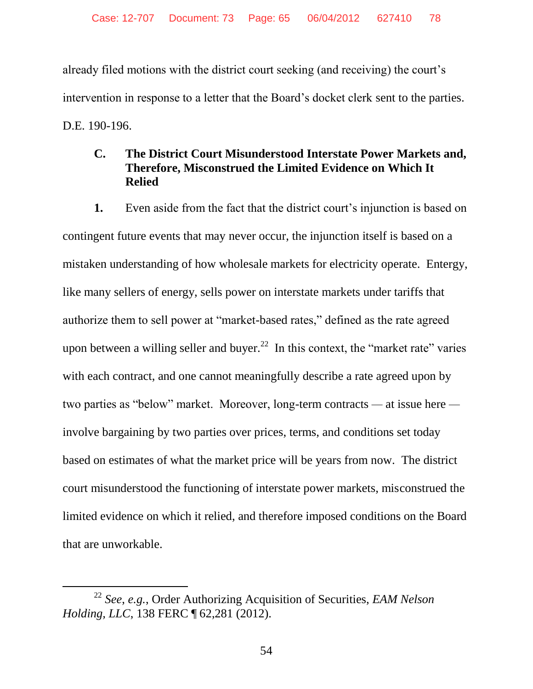already filed motions with the district court seeking (and receiving) the court's intervention in response to a letter that the Board's docket clerk sent to the parties. D.E. 190-196.

## **C. The District Court Misunderstood Interstate Power Markets and, Therefore, Misconstrued the Limited Evidence on Which It Relied**

**1.** Even aside from the fact that the district court's injunction is based on contingent future events that may never occur, the injunction itself is based on a mistaken understanding of how wholesale markets for electricity operate. Entergy, like many sellers of energy, sells power on interstate markets under tariffs that authorize them to sell power at "market-based rates," defined as the rate agreed upon between a willing seller and buyer.<sup>22</sup> In this context, the "market rate" varies with each contract, and one cannot meaningfully describe a rate agreed upon by two parties as "below" market. Moreover, long-term contracts *—* at issue here  involve bargaining by two parties over prices, terms, and conditions set today based on estimates of what the market price will be years from now. The district court misunderstood the functioning of interstate power markets, misconstrued the limited evidence on which it relied, and therefore imposed conditions on the Board that are unworkable.

 $\overline{a}$ 

<sup>22</sup> *See*, *e.g.*, Order Authorizing Acquisition of Securities, *EAM Nelson Holding, LLC*, 138 FERC ¶ 62,281 (2012).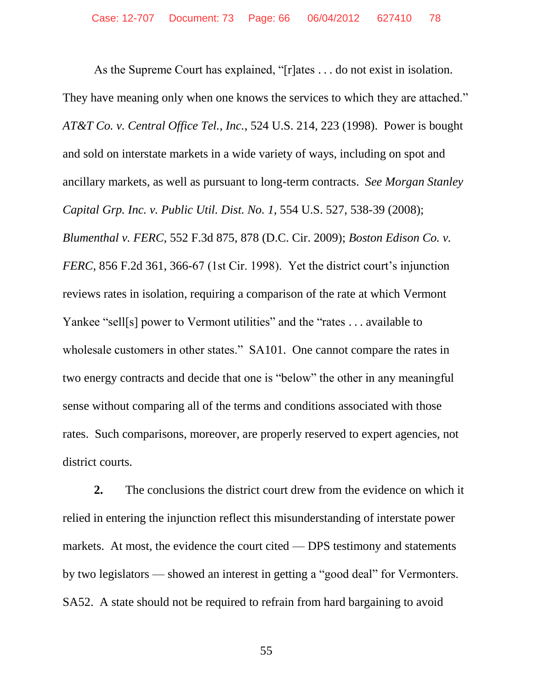As the Supreme Court has explained, "[r]ates . . . do not exist in isolation. They have meaning only when one knows the services to which they are attached." *AT&T Co. v. Central Office Tel., Inc.*, 524 U.S. 214, 223 (1998). Power is bought and sold on interstate markets in a wide variety of ways, including on spot and ancillary markets, as well as pursuant to long-term contracts. *See Morgan Stanley Capital Grp. Inc. v. Public Util. Dist. No. 1*, 554 U.S. 527, 538-39 (2008); *Blumenthal v. FERC*, 552 F.3d 875, 878 (D.C. Cir. 2009); *Boston Edison Co. v. FERC*, 856 F.2d 361, 366-67 (1st Cir. 1998). Yet the district court's injunction reviews rates in isolation, requiring a comparison of the rate at which Vermont Yankee "sell[s] power to Vermont utilities" and the "rates . . . available to wholesale customers in other states." SA101. One cannot compare the rates in two energy contracts and decide that one is "below" the other in any meaningful sense without comparing all of the terms and conditions associated with those rates. Such comparisons, moreover, are properly reserved to expert agencies, not district courts.

**2.** The conclusions the district court drew from the evidence on which it relied in entering the injunction reflect this misunderstanding of interstate power markets. At most, the evidence the court cited — DPS testimony and statements by two legislators — showed an interest in getting a "good deal" for Vermonters. SA52. A state should not be required to refrain from hard bargaining to avoid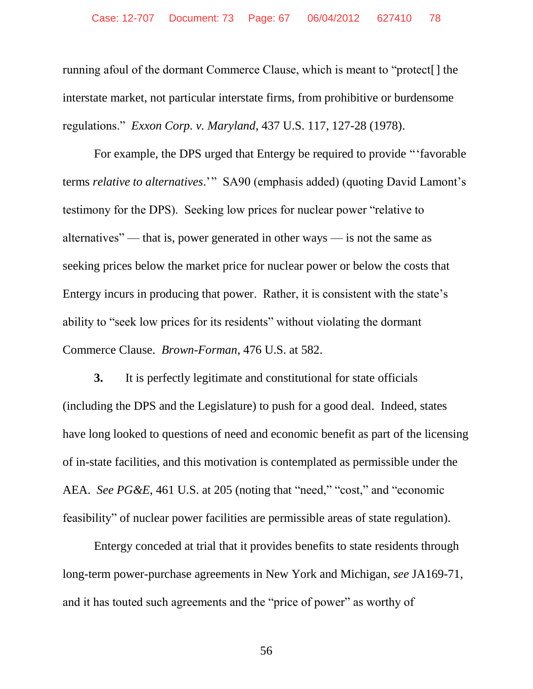running afoul of the dormant Commerce Clause, which is meant to "protect[] the interstate market, not particular interstate firms, from prohibitive or burdensome regulations." *Exxon Corp. v. Maryland*, 437 U.S. 117, 127-28 (1978).

For example, the DPS urged that Entergy be required to provide "'favorable terms *relative to alternatives*.'" SA90 (emphasis added) (quoting David Lamont's testimony for the DPS). Seeking low prices for nuclear power "relative to alternatives" — that is, power generated in other ways — is not the same as seeking prices below the market price for nuclear power or below the costs that Entergy incurs in producing that power. Rather, it is consistent with the state's ability to "seek low prices for its residents" without violating the dormant Commerce Clause. *Brown-Forman*, 476 U.S. at 582.

**3.** It is perfectly legitimate and constitutional for state officials (including the DPS and the Legislature) to push for a good deal. Indeed, states have long looked to questions of need and economic benefit as part of the licensing of in-state facilities, and this motivation is contemplated as permissible under the AEA. *See PG&E*, 461 U.S. at 205 (noting that "need," "cost," and "economic feasibility" of nuclear power facilities are permissible areas of state regulation).

Entergy conceded at trial that it provides benefits to state residents through long-term power-purchase agreements in New York and Michigan, *see* JA169-71, and it has touted such agreements and the "price of power" as worthy of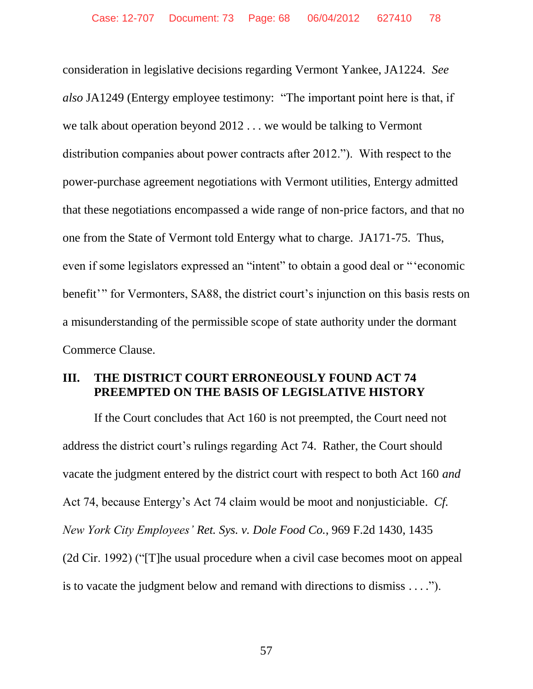consideration in legislative decisions regarding Vermont Yankee, JA1224. *See also* JA1249 (Entergy employee testimony: "The important point here is that, if we talk about operation beyond 2012 . . . we would be talking to Vermont distribution companies about power contracts after 2012."). With respect to the power-purchase agreement negotiations with Vermont utilities, Entergy admitted that these negotiations encompassed a wide range of non-price factors, and that no one from the State of Vermont told Entergy what to charge. JA171-75. Thus, even if some legislators expressed an "intent" to obtain a good deal or "'economic benefit'" for Vermonters, SA88, the district court's injunction on this basis rests on a misunderstanding of the permissible scope of state authority under the dormant Commerce Clause.

#### **III. THE DISTRICT COURT ERRONEOUSLY FOUND ACT 74 PREEMPTED ON THE BASIS OF LEGISLATIVE HISTORY**

If the Court concludes that Act 160 is not preempted, the Court need not address the district court's rulings regarding Act 74. Rather, the Court should vacate the judgment entered by the district court with respect to both Act 160 *and*  Act 74, because Entergy's Act 74 claim would be moot and nonjusticiable. *Cf. New York City Employees' Ret. Sys. v. Dole Food Co.*, 969 F.2d 1430, 1435 (2d Cir. 1992) ("[T]he usual procedure when a civil case becomes moot on appeal is to vacate the judgment below and remand with directions to dismiss . . . .").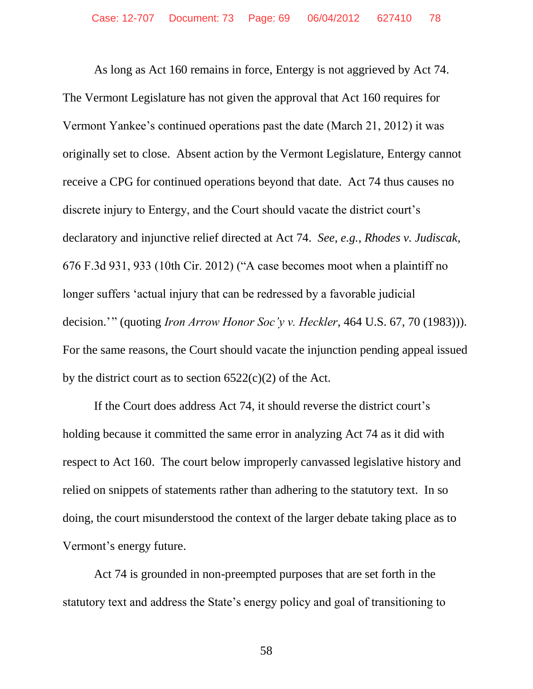As long as Act 160 remains in force, Entergy is not aggrieved by Act 74. The Vermont Legislature has not given the approval that Act 160 requires for Vermont Yankee's continued operations past the date (March 21, 2012) it was originally set to close. Absent action by the Vermont Legislature, Entergy cannot receive a CPG for continued operations beyond that date. Act 74 thus causes no discrete injury to Entergy, and the Court should vacate the district court's declaratory and injunctive relief directed at Act 74. *See*, *e.g.*, *Rhodes v. Judiscak*, 676 F.3d 931, 933 (10th Cir. 2012) ("A case becomes moot when a plaintiff no longer suffers 'actual injury that can be redressed by a favorable judicial decision.'" (quoting *Iron Arrow Honor Soc'y v. Heckler*, 464 U.S. 67, 70 (1983))). For the same reasons, the Court should vacate the injunction pending appeal issued by the district court as to section  $6522(c)(2)$  of the Act.

If the Court does address Act 74, it should reverse the district court's holding because it committed the same error in analyzing Act 74 as it did with respect to Act 160. The court below improperly canvassed legislative history and relied on snippets of statements rather than adhering to the statutory text. In so doing, the court misunderstood the context of the larger debate taking place as to Vermont's energy future.

Act 74 is grounded in non-preempted purposes that are set forth in the statutory text and address the State's energy policy and goal of transitioning to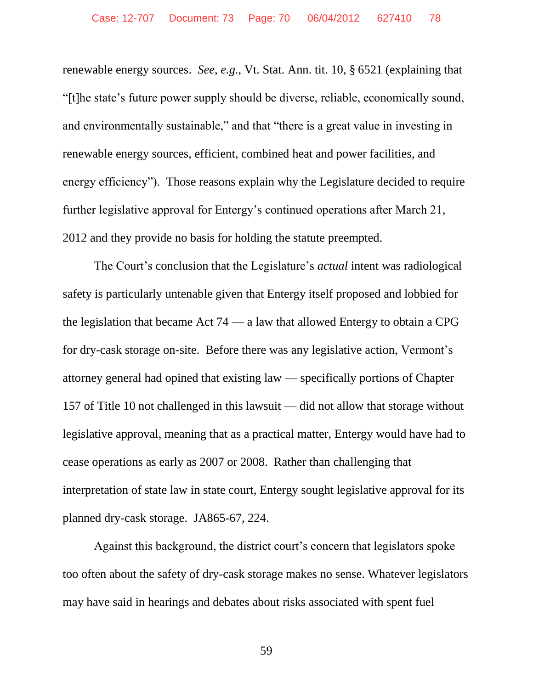renewable energy sources. *See*, *e.g.*, Vt. Stat. Ann. tit. 10, § 6521 (explaining that "[t]he state's future power supply should be diverse, reliable, economically sound, and environmentally sustainable," and that "there is a great value in investing in renewable energy sources, efficient, combined heat and power facilities, and energy efficiency"). Those reasons explain why the Legislature decided to require further legislative approval for Entergy's continued operations after March 21, 2012 and they provide no basis for holding the statute preempted.

The Court's conclusion that the Legislature's *actual* intent was radiological safety is particularly untenable given that Entergy itself proposed and lobbied for the legislation that became Act 74 — a law that allowed Entergy to obtain a CPG for dry-cask storage on-site. Before there was any legislative action, Vermont's attorney general had opined that existing law — specifically portions of Chapter 157 of Title 10 not challenged in this lawsuit — did not allow that storage without legislative approval, meaning that as a practical matter, Entergy would have had to cease operations as early as 2007 or 2008. Rather than challenging that interpretation of state law in state court, Entergy sought legislative approval for its planned dry-cask storage. JA865-67, 224.

Against this background, the district court's concern that legislators spoke too often about the safety of dry-cask storage makes no sense. Whatever legislators may have said in hearings and debates about risks associated with spent fuel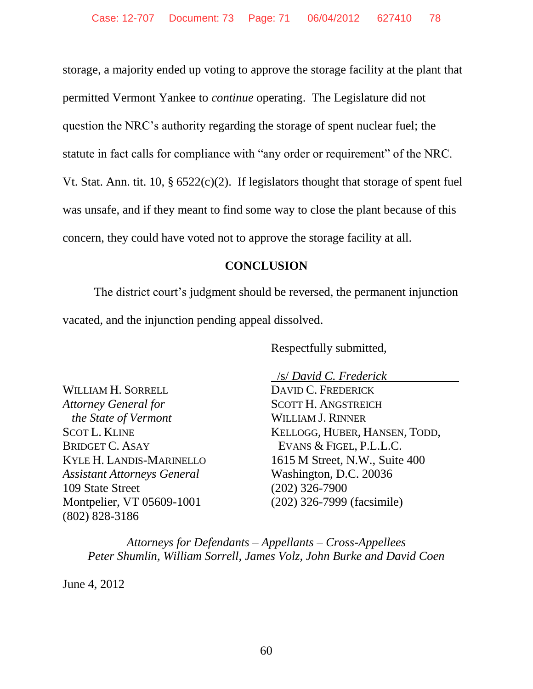storage, a majority ended up voting to approve the storage facility at the plant that permitted Vermont Yankee to *continue* operating. The Legislature did not question the NRC's authority regarding the storage of spent nuclear fuel; the statute in fact calls for compliance with "any order or requirement" of the NRC. Vt. Stat. Ann. tit.  $10, \S 6522(c)(2)$ . If legislators thought that storage of spent fuel was unsafe, and if they meant to find some way to close the plant because of this concern, they could have voted not to approve the storage facility at all.

## **CONCLUSION**

The district court's judgment should be reversed, the permanent injunction vacated, and the injunction pending appeal dissolved.

Respectfully submitted,

WILLIAM H. SORRELL *Attorney General for the State of Vermont* SCOT L. KLINE BRIDGET C. ASAY KYLE H. LANDIS-MARINELLO *Assistant Attorneys General* 109 State Street Montpelier, VT 05609-1001 (802) 828-3186

 /s/ *David C. Frederick* DAVID C. FREDERICK SCOTT H. ANGSTREICH WILLIAM J. RINNER KELLOGG, HUBER, HANSEN, TODD, EVANS & FIGEL, P.L.L.C. 1615 M Street, N.W., Suite 400 Washington, D.C. 20036 (202) 326-7900 (202) 326-7999 (facsimile)

*Attorneys for Defendants – Appellants – Cross-Appellees Peter Shumlin, William Sorrell, James Volz, John Burke and David Coen*

June 4, 2012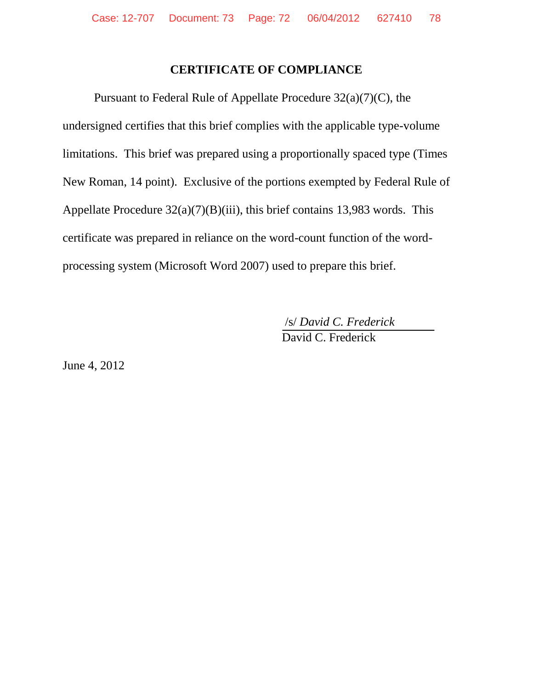#### **CERTIFICATE OF COMPLIANCE**

Pursuant to Federal Rule of Appellate Procedure 32(a)(7)(C), the undersigned certifies that this brief complies with the applicable type-volume limitations. This brief was prepared using a proportionally spaced type (Times New Roman, 14 point). Exclusive of the portions exempted by Federal Rule of Appellate Procedure  $32(a)(7)(B)(iii)$ , this brief contains 13,983 words. This certificate was prepared in reliance on the word-count function of the wordprocessing system (Microsoft Word 2007) used to prepare this brief.

> /s/ *David C. Frederick* David C. Frederick

June 4, 2012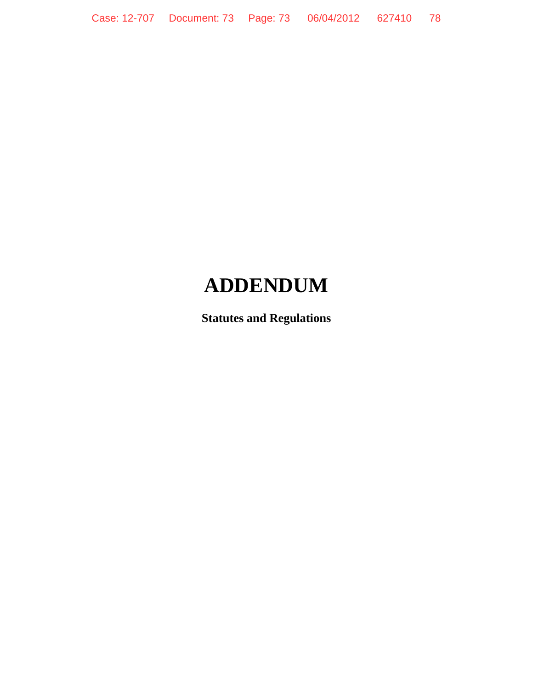# **ADDENDUM**

**Statutes and Regulations**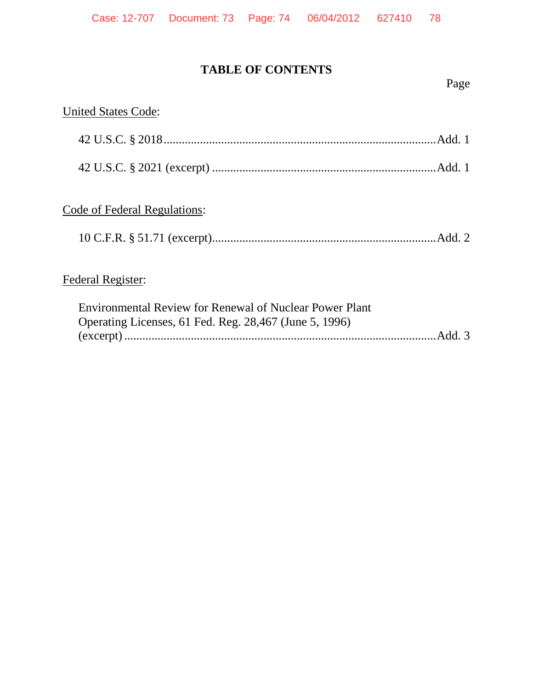# **TABLE OF CONTENTS**

#### Page

# United States Code: 42 U.S.C. § 2018..........................................................................................Add. 1 42 U.S.C. § 2021 (excerpt) ..........................................................................Add. 1 Code of Federal Regulations: 10 C.F.R. § 51.71 (excerpt)..........................................................................Add. 2 Federal Register:

| <b>Environmental Review for Renewal of Nuclear Power Plant</b> |  |
|----------------------------------------------------------------|--|
| Operating Licenses, 61 Fed. Reg. 28,467 (June 5, 1996)         |  |
|                                                                |  |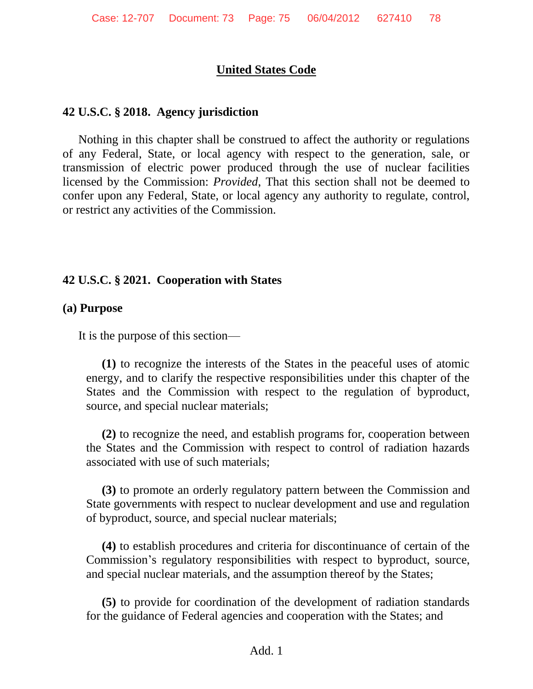# **United States Code**

#### **42 U.S.C. § 2018. Agency jurisdiction**

Nothing in this chapter shall be construed to affect the authority or regulations of any Federal, State, or local agency with respect to the generation, sale, or transmission of electric power produced through the use of nuclear facilities licensed by the Commission: *Provided*, That this section shall not be deemed to confer upon any Federal, State, or local agency any authority to regulate, control, or restrict any activities of the Commission.

#### **42 U.S.C. § 2021. Cooperation with States**

#### **(a) Purpose**

It is the purpose of this section—

**(1)** to recognize the interests of the States in the peaceful uses of atomic energy, and to clarify the respective responsibilities under this chapter of the States and the Commission with respect to the regulation of byproduct, source, and special nuclear materials;

**(2)** to recognize the need, and establish programs for, cooperation between the States and the Commission with respect to control of radiation hazards associated with use of such materials;

**(3)** to promote an orderly regulatory pattern between the Commission and State governments with respect to nuclear development and use and regulation of byproduct, source, and special nuclear materials;

**(4)** to establish procedures and criteria for discontinuance of certain of the Commission's regulatory responsibilities with respect to byproduct, source, and special nuclear materials, and the assumption thereof by the States;

**(5)** to provide for coordination of the development of radiation standards for the guidance of Federal agencies and cooperation with the States; and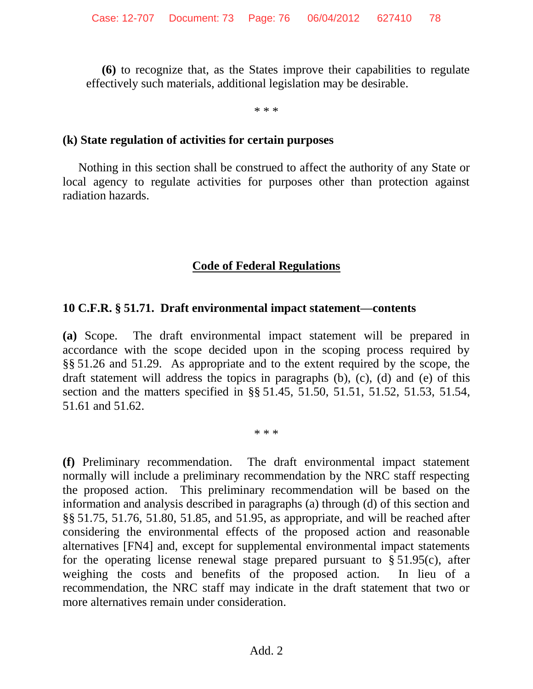**(6)** to recognize that, as the States improve their capabilities to regulate effectively such materials, additional legislation may be desirable.

\* \* \*

#### **(k) State regulation of activities for certain purposes**

Nothing in this section shall be construed to affect the authority of any State or local agency to regulate activities for purposes other than protection against radiation hazards.

### **Code of Federal Regulations**

#### **10 C.F.R. § 51.71. Draft environmental impact statement—contents**

**(a)** Scope. The draft environmental impact statement will be prepared in accordance with the scope decided upon in the scoping process required by §§ [51.26](http://www.westlaw.com/Find/Default.wl?rs=dfa1.0&vr=2.0&DB=1000547&DocName=10CFRS51.26&FindType=L) and [51.29.](http://www.westlaw.com/Find/Default.wl?rs=dfa1.0&vr=2.0&DB=1000547&DocName=10CFRS51.29&FindType=L) As appropriate and to the extent required by the scope, the draft statement will address the topics in paragraphs (b), (c), (d) and (e) of this section and the matters specified in §§ [51.45,](http://www.westlaw.com/Find/Default.wl?rs=dfa1.0&vr=2.0&DB=1000547&DocName=10CFRS51.45&FindType=L) [51.50,](http://www.westlaw.com/Find/Default.wl?rs=dfa1.0&vr=2.0&DB=1000547&DocName=10CFRS51.50&FindType=L) [51.51,](http://www.westlaw.com/Find/Default.wl?rs=dfa1.0&vr=2.0&DB=1000547&DocName=10CFRS51.51&FindType=L) [51.52,](http://www.westlaw.com/Find/Default.wl?rs=dfa1.0&vr=2.0&DB=1000547&DocName=10CFRS51.52&FindType=L) [51.53,](http://www.westlaw.com/Find/Default.wl?rs=dfa1.0&vr=2.0&DB=1000547&DocName=10CFRS51.53&FindType=L) [51.54,](http://www.westlaw.com/Find/Default.wl?rs=dfa1.0&vr=2.0&DB=1000547&DocName=10CFRS51.54&FindType=L) [51.61](http://www.westlaw.com/Find/Default.wl?rs=dfa1.0&vr=2.0&DB=1000547&DocName=10CFRS51.61&FindType=L) and [51.62.](http://www.westlaw.com/Find/Default.wl?rs=dfa1.0&vr=2.0&DB=1000547&DocName=10CFRS51.62&FindType=L)

\* \* \*

<span id="page-75-0"></span>**(f)** Preliminary recommendation. The draft environmental impact statement normally will include a preliminary recommendation by the NRC staff respecting the proposed action. This preliminary recommendation will be based on the information and analysis described in paragraphs (a) through (d) of this section and §§ [51.75,](http://www.westlaw.com/Find/Default.wl?rs=dfa1.0&vr=2.0&DB=1000547&DocName=10CFRS51.75&FindType=L) [51.76,](http://www.westlaw.com/Find/Default.wl?rs=dfa1.0&vr=2.0&DB=1000547&DocName=10CFRS51.76&FindType=L) [51.80,](http://www.westlaw.com/Find/Default.wl?rs=dfa1.0&vr=2.0&DB=1000547&DocName=10CFRS51.80&FindType=L) [51.85,](http://www.westlaw.com/Find/Default.wl?rs=dfa1.0&vr=2.0&DB=1000547&DocName=10CFRS51.85&FindType=L) and [51.95,](http://www.westlaw.com/Find/Default.wl?rs=dfa1.0&vr=2.0&DB=1000547&DocName=10CFRS51.95&FindType=L) as appropriate, and will be reached after considering the environmental effects of the proposed action and reasonable alternatives [\[FN4\]](#page-76-0) and, except for supplemental environmental impact statements for the operating license renewal stage prepared pursuant to  $\S 51.95(c)$ , after weighing the costs and benefits of the proposed action. In lieu of a recommendation, the NRC staff may indicate in the draft statement that two or more alternatives remain under consideration.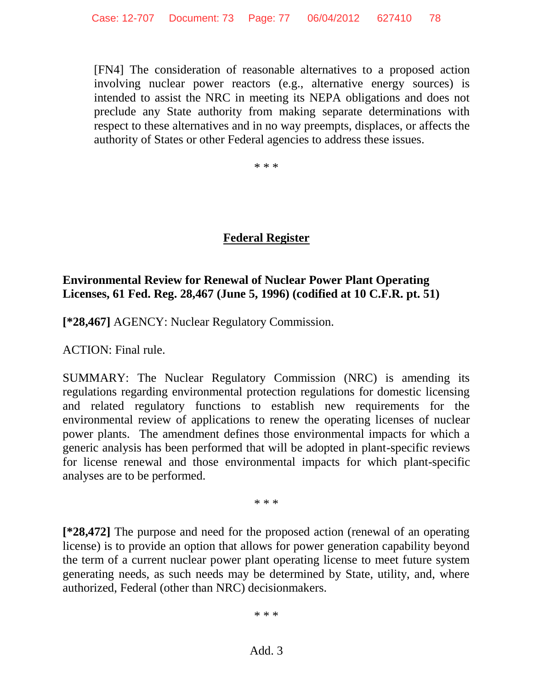<span id="page-76-0"></span>[\[FN4\]](#page-75-0) The consideration of reasonable alternatives to a proposed action involving nuclear power reactors (e.g., alternative energy sources) is intended to assist the NRC in meeting its NEPA obligations and does not preclude any State authority from making separate determinations with respect to these alternatives and in no way preempts, displaces, or affects the authority of States or other Federal agencies to address these issues.

\* \* \*

# **Federal Register**

# **Environmental Review for Renewal of Nuclear Power Plant Operating Licenses, 61 Fed. Reg. 28,467 (June 5, 1996) (codified at 10 C.F.R. pt. 51)**

**[\*28,467]** AGENCY: Nuclear Regulatory Commission.

ACTION: Final rule.

SUMMARY: The Nuclear Regulatory Commission (NRC) is amending its regulations regarding environmental protection regulations for domestic licensing and related regulatory functions to establish new requirements for the environmental review of applications to renew the operating licenses of nuclear power plants. The amendment defines those environmental impacts for which a generic analysis has been performed that will be adopted in plant-specific reviews for license renewal and those environmental impacts for which plant-specific analyses are to be performed.

\* \* \*

**[\*28,472]** The purpose and need for the proposed action (renewal of an operating license) is to provide an option that allows for power generation capability beyond the term of a current nuclear power plant operating license to meet future system generating needs, as such needs may be determined by State, utility, and, where authorized, Federal (other than NRC) decisionmakers.

\* \* \*